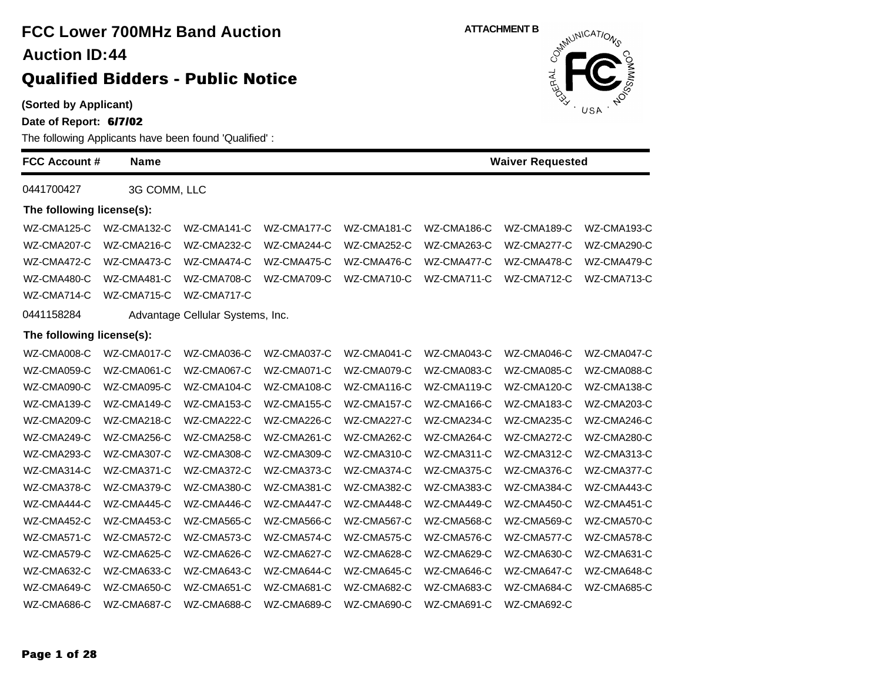| (Sorted by Applicant)<br>Date of Report: 6/7/02 |              | The following Applicants have been found 'Qualified': |             |             |             | <b>BUSH</b> USA<br>NDCS |             |
|-------------------------------------------------|--------------|-------------------------------------------------------|-------------|-------------|-------------|-------------------------|-------------|
| <b>FCC Account #</b>                            | <b>Name</b>  |                                                       |             |             |             | <b>Waiver Requested</b> |             |
| 0441700427                                      | 3G COMM, LLC |                                                       |             |             |             |                         |             |
| The following license(s):                       |              |                                                       |             |             |             |                         |             |
| WZ-CMA125-C                                     | WZ-CMA132-C  | WZ-CMA141-C                                           | WZ-CMA177-C | WZ-CMA181-C | WZ-CMA186-C | WZ-CMA189-C             | WZ-CMA193-C |
| WZ-CMA207-C                                     | WZ-CMA216-C  | WZ-CMA232-C                                           | WZ-CMA244-C | WZ-CMA252-C | WZ-CMA263-C | WZ-CMA277-C             | WZ-CMA290-C |
| WZ-CMA472-C                                     | WZ-CMA473-C  | WZ-CMA474-C                                           | WZ-CMA475-C | WZ-CMA476-C | WZ-CMA477-C | WZ-CMA478-C             | WZ-CMA479-C |
| WZ-CMA480-C                                     | WZ-CMA481-C  | WZ-CMA708-C                                           | WZ-CMA709-C | WZ-CMA710-C | WZ-CMA711-C | WZ-CMA712-C             | WZ-CMA713-C |
| WZ-CMA714-C                                     | WZ-CMA715-C  | WZ-CMA717-C                                           |             |             |             |                         |             |
| 0441158284                                      |              | Advantage Cellular Systems, Inc.                      |             |             |             |                         |             |
| The following license(s):                       |              |                                                       |             |             |             |                         |             |
| WZ-CMA008-C                                     | WZ-CMA017-C  | WZ-CMA036-C                                           | WZ-CMA037-C | WZ-CMA041-C | WZ-CMA043-C | WZ-CMA046-C             | WZ-CMA047-C |
| WZ-CMA059-C                                     | WZ-CMA061-C  | WZ-CMA067-C                                           | WZ-CMA071-C | WZ-CMA079-C | WZ-CMA083-C | WZ-CMA085-C             | WZ-CMA088-C |
| WZ-CMA090-C                                     | WZ-CMA095-C  | WZ-CMA104-C                                           | WZ-CMA108-C | WZ-CMA116-C | WZ-CMA119-C | WZ-CMA120-C             | WZ-CMA138-C |
| WZ-CMA139-C                                     | WZ-CMA149-C  | WZ-CMA153-C                                           | WZ-CMA155-C | WZ-CMA157-C | WZ-CMA166-C | WZ-CMA183-C             | WZ-CMA203-C |
| WZ-CMA209-C                                     | WZ-CMA218-C  | WZ-CMA222-C                                           | WZ-CMA226-C | WZ-CMA227-C | WZ-CMA234-C | WZ-CMA235-C             | WZ-CMA246-C |
| WZ-CMA249-C                                     | WZ-CMA256-C  | WZ-CMA258-C                                           | WZ-CMA261-C | WZ-CMA262-C | WZ-CMA264-C | WZ-CMA272-C             | WZ-CMA280-C |
| WZ-CMA293-C                                     | WZ-CMA307-C  | WZ-CMA308-C                                           | WZ-CMA309-C | WZ-CMA310-C | WZ-CMA311-C | WZ-CMA312-C             | WZ-CMA313-C |
| WZ-CMA314-C                                     | WZ-CMA371-C  | WZ-CMA372-C                                           | WZ-CMA373-C | WZ-CMA374-C | WZ-CMA375-C | WZ-CMA376-C             | WZ-CMA377-C |
| WZ-CMA378-C                                     | WZ-CMA379-C  | WZ-CMA380-C                                           | WZ-CMA381-C | WZ-CMA382-C | WZ-CMA383-C | WZ-CMA384-C             | WZ-CMA443-C |
| WZ-CMA444-C                                     | WZ-CMA445-C  | WZ-CMA446-C                                           | WZ-CMA447-C | WZ-CMA448-C | WZ-CMA449-C | WZ-CMA450-C             | WZ-CMA451-C |
| WZ-CMA452-C                                     | WZ-CMA453-C  | WZ-CMA565-C                                           | WZ-CMA566-C | WZ-CMA567-C | WZ-CMA568-C | WZ-CMA569-C             | WZ-CMA570-C |
| WZ-CMA571-C                                     | WZ-CMA572-C  | WZ-CMA573-C                                           | WZ-CMA574-C | WZ-CMA575-C | WZ-CMA576-C | WZ-CMA577-C             | WZ-CMA578-C |
| WZ-CMA579-C                                     | WZ-CMA625-C  | WZ-CMA626-C                                           | WZ-CMA627-C | WZ-CMA628-C | WZ-CMA629-C | WZ-CMA630-C             | WZ-CMA631-C |
| WZ-CMA632-C                                     | WZ-CMA633-C  | WZ-CMA643-C                                           | WZ-CMA644-C | WZ-CMA645-C | WZ-CMA646-C | WZ-CMA647-C             | WZ-CMA648-C |
| WZ-CMA649-C                                     | WZ-CMA650-C  | WZ-CMA651-C                                           | WZ-CMA681-C | WZ-CMA682-C | WZ-CMA683-C | WZ-CMA684-C             | WZ-CMA685-C |

WZ-CMA686-C WZ-CMA687-C WZ-CMA688-C WZ-CMA689-C WZ-CMA690-C WZ-CMA691-C WZ-CMA692-C



**Page 1 of 28**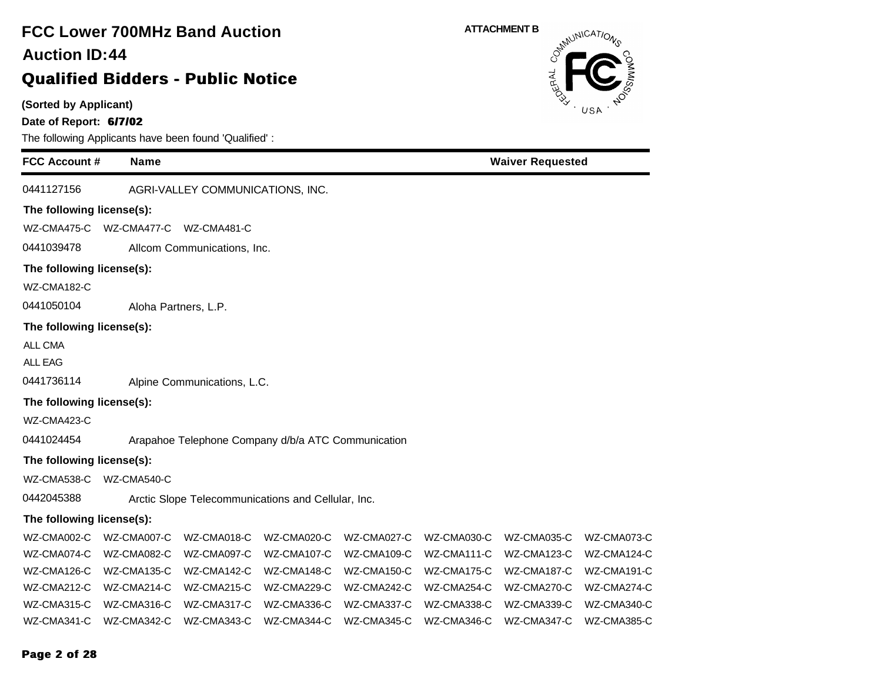| <b>FCC Lower 700MHz Band Auction</b><br><b>Auction ID:44</b><br><b>Qualified Bidders - Public Notice</b> |             |                                                    |             |             |             | <b>ATTACHMENT B</b><br>OERAL | OSMUNICATIONS |
|----------------------------------------------------------------------------------------------------------|-------------|----------------------------------------------------|-------------|-------------|-------------|------------------------------|---------------|
| (Sorted by Applicant)<br>Date of Report: 6/7/02<br>The following Applicants have been found 'Qualified': |             |                                                    |             |             |             |                              | USA           |
| <b>FCC Account #</b>                                                                                     | <b>Name</b> |                                                    |             |             |             | <b>Waiver Requested</b>      |               |
| 0441127156                                                                                               |             | AGRI-VALLEY COMMUNICATIONS, INC.                   |             |             |             |                              |               |
| The following license(s):                                                                                |             |                                                    |             |             |             |                              |               |
| WZ-CMA475-C WZ-CMA477-C WZ-CMA481-C                                                                      |             |                                                    |             |             |             |                              |               |
| 0441039478                                                                                               |             | Allcom Communications, Inc.                        |             |             |             |                              |               |
| The following license(s):                                                                                |             |                                                    |             |             |             |                              |               |
| WZ-CMA182-C                                                                                              |             |                                                    |             |             |             |                              |               |
| 0441050104                                                                                               |             | Aloha Partners, L.P.                               |             |             |             |                              |               |
| The following license(s):                                                                                |             |                                                    |             |             |             |                              |               |
| ALL CMA                                                                                                  |             |                                                    |             |             |             |                              |               |
| <b>ALL EAG</b>                                                                                           |             |                                                    |             |             |             |                              |               |
| 0441736114                                                                                               |             | Alpine Communications, L.C.                        |             |             |             |                              |               |
| The following license(s):                                                                                |             |                                                    |             |             |             |                              |               |
| WZ-CMA423-C                                                                                              |             |                                                    |             |             |             |                              |               |
| 0441024454                                                                                               |             | Arapahoe Telephone Company d/b/a ATC Communication |             |             |             |                              |               |
| The following license(s):                                                                                |             |                                                    |             |             |             |                              |               |
| WZ-CMA538-C WZ-CMA540-C                                                                                  |             |                                                    |             |             |             |                              |               |
| 0442045388                                                                                               |             | Arctic Slope Telecommunications and Cellular, Inc. |             |             |             |                              |               |
| The following license(s):                                                                                |             |                                                    |             |             |             |                              |               |
| WZ-CMA002-C                                                                                              | WZ-CMA007-C | WZ-CMA018-C                                        | WZ-CMA020-C | WZ-CMA027-C | WZ-CMA030-C | WZ-CMA035-C                  | WZ-CMA073-C   |
| WZ-CMA074-C                                                                                              | WZ-CMA082-C | WZ-CMA097-C                                        | WZ-CMA107-C | WZ-CMA109-C | WZ-CMA111-C | WZ-CMA123-C                  | WZ-CMA124-C   |
| WZ-CMA126-C                                                                                              | WZ-CMA135-C | WZ-CMA142-C                                        | WZ-CMA148-C | WZ-CMA150-C | WZ-CMA175-C | WZ-CMA187-C                  | WZ-CMA191-C   |
| WZ-CMA212-C                                                                                              | WZ-CMA214-C | WZ-CMA215-C                                        | WZ-CMA229-C | WZ-CMA242-C | WZ-CMA254-C | WZ-CMA270-C                  | WZ-CMA274-C   |
| WZ-CMA315-C                                                                                              | WZ-CMA316-C | WZ-CMA317-C                                        | WZ-CMA336-C | WZ-CMA337-C | WZ-CMA338-C | WZ-CMA339-C                  | WZ-CMA340-C   |
| WZ-CMA341-C                                                                                              | WZ-CMA342-C | WZ-CMA343-C                                        | WZ-CMA344-C | WZ-CMA345-C | WZ-CMA346-C | WZ-CMA347-C                  | WZ-CMA385-C   |

### **Page 2 of 28**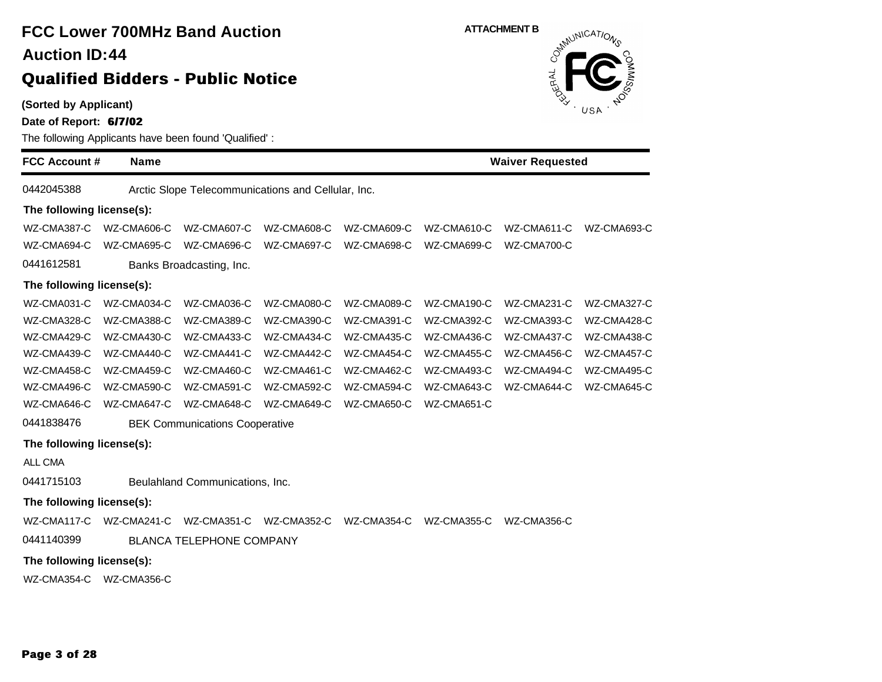**(Sorted by Applicant)**

**Date of Report: 6/7/02**

| <b>FCC Account #</b>      | <b>Name</b> |                                                    |             |                         |             | <b>Waiver Requested</b> |             |
|---------------------------|-------------|----------------------------------------------------|-------------|-------------------------|-------------|-------------------------|-------------|
| 0442045388                |             | Arctic Slope Telecommunications and Cellular, Inc. |             |                         |             |                         |             |
| The following license(s): |             |                                                    |             |                         |             |                         |             |
| WZ-CMA387-C               | WZ-CMA606-C | WZ-CMA607-C                                        | WZ-CMA608-C | WZ-CMA609-C             | WZ-CMA610-C | WZ-CMA611-C             | WZ-CMA693-C |
| WZ-CMA694-C               | WZ-CMA695-C | WZ-CMA696-C                                        | WZ-CMA697-C | WZ-CMA698-C             | WZ-CMA699-C | WZ-CMA700-C             |             |
| 0441612581                |             | Banks Broadcasting, Inc.                           |             |                         |             |                         |             |
| The following license(s): |             |                                                    |             |                         |             |                         |             |
| WZ-CMA031-C               | WZ-CMA034-C | WZ-CMA036-C                                        | WZ-CMA080-C | WZ-CMA089-C             | WZ-CMA190-C | WZ-CMA231-C             | WZ-CMA327-C |
| WZ-CMA328-C               | WZ-CMA388-C | WZ-CMA389-C                                        | WZ-CMA390-C | WZ-CMA391-C             | WZ-CMA392-C | WZ-CMA393-C             | WZ-CMA428-C |
| WZ-CMA429-C               | WZ-CMA430-C | WZ-CMA433-C                                        | WZ-CMA434-C | WZ-CMA435-C             | WZ-CMA436-C | WZ-CMA437-C             | WZ-CMA438-C |
| WZ-CMA439-C               | WZ-CMA440-C | WZ-CMA441-C                                        | WZ-CMA442-C | WZ-CMA454-C             | WZ-CMA455-C | WZ-CMA456-C             | WZ-CMA457-C |
| WZ-CMA458-C               | WZ-CMA459-C | WZ-CMA460-C                                        | WZ-CMA461-C | WZ-CMA462-C             | WZ-CMA493-C | WZ-CMA494-C             | WZ-CMA495-C |
| WZ-CMA496-C               | WZ-CMA590-C | WZ-CMA591-C                                        | WZ-CMA592-C | WZ-CMA594-C             | WZ-CMA643-C | WZ-CMA644-C             | WZ-CMA645-C |
| WZ-CMA646-C               | WZ-CMA647-C | WZ-CMA648-C                                        | WZ-CMA649-C | WZ-CMA650-C             | WZ-CMA651-C |                         |             |
| 0441838476                |             | <b>BEK Communications Cooperative</b>              |             |                         |             |                         |             |
| The following license(s): |             |                                                    |             |                         |             |                         |             |
| ALL CMA                   |             |                                                    |             |                         |             |                         |             |
| 0441715103                |             | Beulahland Communications, Inc.                    |             |                         |             |                         |             |
| The following license(s): |             |                                                    |             |                         |             |                         |             |
| WZ-CMA117-C               | WZ-CMA241-C | WZ-CMA351-C                                        |             | WZ-CMA352-C WZ-CMA354-C | WZ-CMA355-C | WZ-CMA356-C             |             |
| 0441140399                |             | <b>BLANCA TELEPHONE COMPANY</b>                    |             |                         |             |                         |             |
| The following license(s): |             |                                                    |             |                         |             |                         |             |
|                           |             |                                                    |             |                         |             |                         |             |
| WZ-CMA354-C WZ-CMA356-C   |             |                                                    |             |                         |             |                         |             |

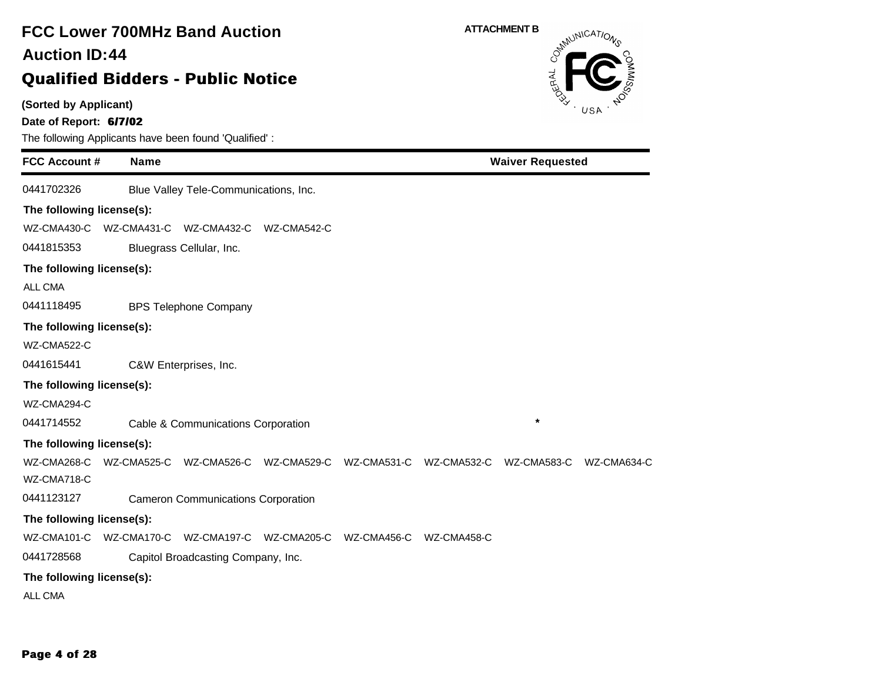### **(Sorted by Applicant) Date of Report: 6/7/02** The following Applicants have been found 'Qualified' : **FCC Account # Name FCC Lower 700MHz Band Auction Qualified Bidders - Public Notice 44 Auction ID: ATTACHMENT B**<br>  $\delta^{mN}$ **Waiver Requested** 0441702326 Blue Valley Tele-Communications, Inc. **The following license(s):** WZ-CMA430-C WZ-CMA431-C WZ-CMA432-C WZ-CMA542-C 0441815353 Bluegrass Cellular, Inc. **The following license(s):** ALL CMA 0441118495 BPS Telephone Company **The following license(s):** WZ-CMA522-C 0441615441 C&W Enterprises, Inc. **The following license(s):** WZ-CMA294-C 0441714552 Cable & Communications Corporation **\* The following license(s):** WZ-CMA268-C WZ-CMA525-C WZ-CMA526-C WZ-CMA529-C WZ-CMA531-C WZ-CMA532-C WZ-CMA583-C WZ-CMA634-C WZ-CMA718-C 0441123127 Cameron Communications Corporation **The following license(s):** WZ-CMA101-C WZ-CMA170-C WZ-CMA197-C WZ-CMA205-C WZ-CMA456-C WZ-CMA458-C 0441728568 Capitol Broadcasting Company, Inc. **The following license(s):** ALL CMA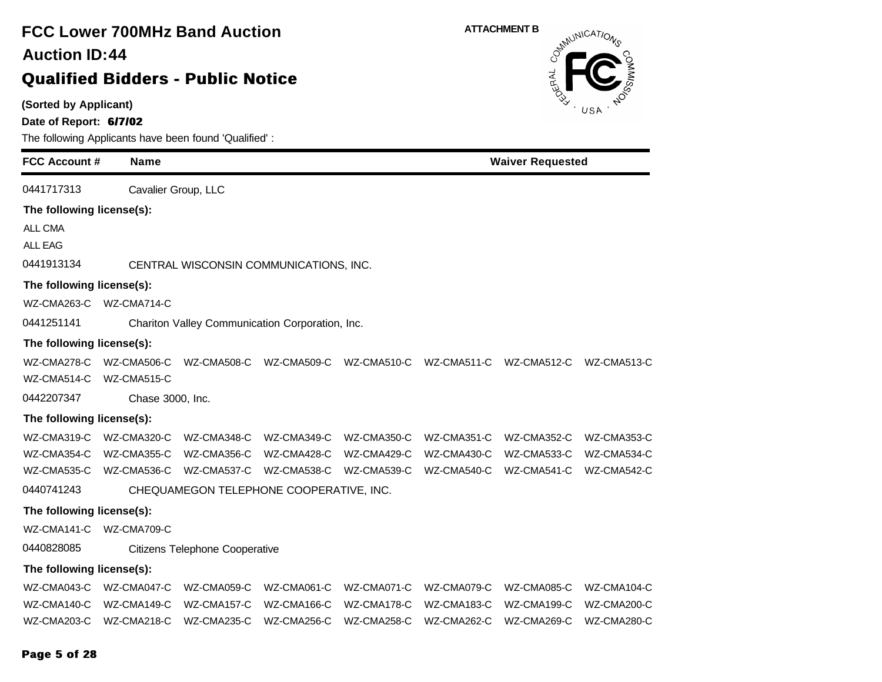### **(Sorted by Applicant) Date of Report: 6/7/02** The following Applicants have been found 'Qualified' : **FCC Account # Name FCC Lower 700MHz Band Auction Qualified Bidders - Public Notice 44 Auction ID: ATTACHMENT B**<br>  $\delta^{m}$ **Waiver Requested** 0441717313 Cavalier Group, LLC **The following license(s):** ALL CMA ALL EAG 0441913134 CENTRAL WISCONSIN COMMUNICATIONS, INC. **The following license(s):** WZ-CMA263-C WZ-CMA714-C 0441251141 Chariton Valley Communication Corporation, Inc. **The following license(s):** WZ-CMA278-C WZ-CMA506-C WZ-CMA508-C WZ-CMA509-C WZ-CMA510-C WZ-CMA511-C WZ-CMA512-C WZ-CMA513-C WZ-CMA514-C WZ-CMA515-C 0442207347 Chase 3000, Inc. **The following license(s):** WZ-CMA319-C WZ-CMA320-C WZ-CMA348-C WZ-CMA349-C WZ-CMA350-C WZ-CMA351-C WZ-CMA352-C WZ-CMA353-C WZ-CMA354-C WZ-CMA355-C WZ-CMA356-C WZ-CMA428-C WZ-CMA429-C WZ-CMA430-C WZ-CMA533-C WZ-CMA534-C WZ-CMA535-C WZ-CMA536-C WZ-CMA537-C WZ-CMA538-C WZ-CMA539-C WZ-CMA540-C WZ-CMA541-C WZ-CMA542-C 0440741243 CHEQUAMEGON TELEPHONE COOPERATIVE, INC. **The following license(s):** WZ-CMA141-C WZ-CMA709-C 0440828085 Citizens Telephone Cooperative **The following license(s):** WZ-CMA043-C WZ-CMA047-C WZ-CMA059-C WZ-CMA061-C WZ-CMA071-C WZ-CMA079-C WZ-CMA085-C WZ-CMA104-C WZ-CMA140-C WZ-CMA149-C WZ-CMA157-C WZ-CMA166-C WZ-CMA178-C WZ-CMA183-C WZ-CMA199-C WZ-CMA200-C WZ-CMA203-C WZ-CMA218-C WZ-CMA235-C WZ-CMA256-C WZ-CMA258-C WZ-CMA262-C WZ-CMA269-C WZ-CMA280-C

### **Page 5 of 28**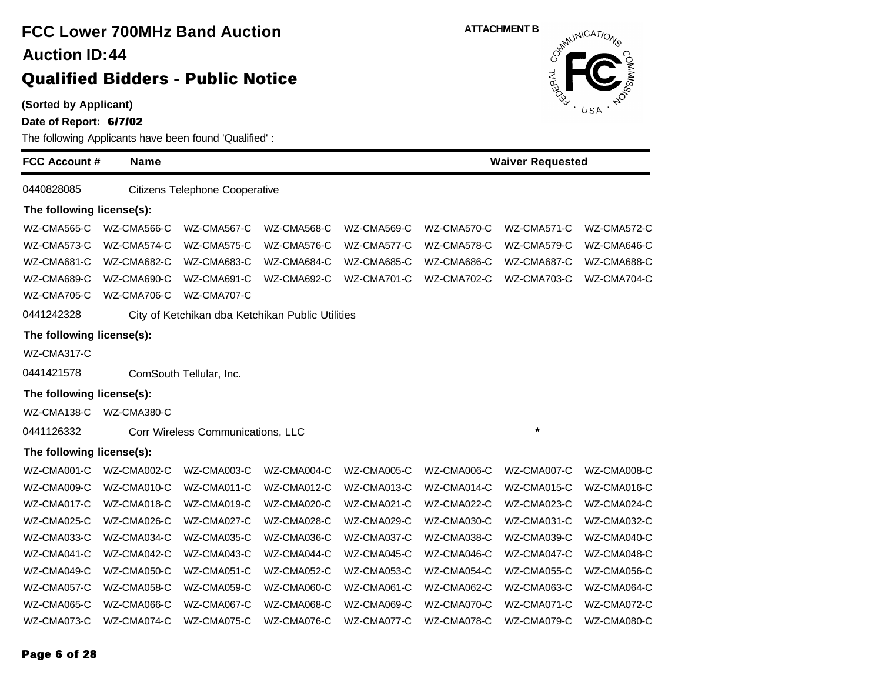| <b>Auction ID:44</b>                            |             | <b>FCC Lower 700MHz Band Auction</b>                  |             |                    | <b>ATTACHMENT B</b><br>Outwilling CATIONS |                         |             |  |  |
|-------------------------------------------------|-------------|-------------------------------------------------------|-------------|--------------------|-------------------------------------------|-------------------------|-------------|--|--|
|                                                 |             | <b>Qualified Bidders - Public Notice</b>              |             |                    |                                           |                         |             |  |  |
| (Sorted by Applicant)<br>Date of Report: 6/7/02 |             | The following Applicants have been found 'Qualified': |             |                    |                                           |                         | USA         |  |  |
| <b>FCC Account #</b>                            | <b>Name</b> |                                                       |             |                    |                                           | <b>Waiver Requested</b> |             |  |  |
| 0440828085                                      |             | Citizens Telephone Cooperative                        |             |                    |                                           |                         |             |  |  |
| The following license(s):                       |             |                                                       |             |                    |                                           |                         |             |  |  |
| WZ-CMA565-C                                     | WZ-CMA566-C | WZ-CMA567-C                                           | WZ-CMA568-C | WZ-CMA569-C        | WZ-CMA570-C                               | WZ-CMA571-C             | WZ-CMA572-C |  |  |
| WZ-CMA573-C                                     | WZ-CMA574-C | WZ-CMA575-C                                           | WZ-CMA576-C | WZ-CMA577-C        | WZ-CMA578-C                               | WZ-CMA579-C             | WZ-CMA646-C |  |  |
| WZ-CMA681-C                                     | WZ-CMA682-C | WZ-CMA683-C                                           | WZ-CMA684-C | WZ-CMA685-C        | WZ-CMA686-C                               | WZ-CMA687-C             | WZ-CMA688-C |  |  |
| WZ-CMA689-C                                     | WZ-CMA690-C | WZ-CMA691-C                                           | WZ-CMA692-C | <b>WZ-CMA701-C</b> | WZ-CMA702-C                               | WZ-CMA703-C             | WZ-CMA704-C |  |  |
| WZ-CMA705-C                                     | WZ-CMA706-C | <b>WZ-CMA707-C</b>                                    |             |                    |                                           |                         |             |  |  |
| 0441242328                                      |             | City of Ketchikan dba Ketchikan Public Utilities      |             |                    |                                           |                         |             |  |  |
| The following license(s):                       |             |                                                       |             |                    |                                           |                         |             |  |  |
| WZ-CMA317-C                                     |             |                                                       |             |                    |                                           |                         |             |  |  |
| 0441421578                                      |             | ComSouth Tellular, Inc.                               |             |                    |                                           |                         |             |  |  |
| The following license(s):                       |             |                                                       |             |                    |                                           |                         |             |  |  |
| WZ-CMA138-C                                     | WZ-CMA380-C |                                                       |             |                    |                                           |                         |             |  |  |
| 0441126332                                      |             | Corr Wireless Communications, LLC                     |             |                    |                                           | $\star$                 |             |  |  |
| The following license(s):                       |             |                                                       |             |                    |                                           |                         |             |  |  |
| WZ-CMA001-C                                     | WZ-CMA002-C | WZ-CMA003-C                                           | WZ-CMA004-C | WZ-CMA005-C        | WZ-CMA006-C                               | WZ-CMA007-C             | WZ-CMA008-C |  |  |
| WZ-CMA009-C                                     | WZ-CMA010-C | WZ-CMA011-C                                           | WZ-CMA012-C | WZ-CMA013-C        | WZ-CMA014-C                               | WZ-CMA015-C             | WZ-CMA016-C |  |  |
| WZ-CMA017-C                                     | WZ-CMA018-C | WZ-CMA019-C                                           | WZ-CMA020-C | WZ-CMA021-C        | WZ-CMA022-C                               | WZ-CMA023-C             | WZ-CMA024-C |  |  |
| WZ-CMA025-C                                     | WZ-CMA026-C | WZ-CMA027-C                                           | WZ-CMA028-C | WZ-CMA029-C        | WZ-CMA030-C                               | WZ-CMA031-C             | WZ-CMA032-C |  |  |
| WZ-CMA033-C                                     | WZ-CMA034-C | WZ-CMA035-C                                           | WZ-CMA036-C | WZ-CMA037-C        | WZ-CMA038-C                               | WZ-CMA039-C             | WZ-CMA040-C |  |  |
| WZ-CMA041-C                                     | WZ-CMA042-C | WZ-CMA043-C                                           | WZ-CMA044-C | WZ-CMA045-C        | WZ-CMA046-C                               | WZ-CMA047-C             | WZ-CMA048-C |  |  |
| WZ-CMA049-C                                     | WZ-CMA050-C | WZ-CMA051-C                                           | WZ-CMA052-C | WZ-CMA053-C        | WZ-CMA054-C                               | WZ-CMA055-C             | WZ-CMA056-C |  |  |
| WZ-CMA057-C                                     | WZ-CMA058-C | WZ-CMA059-C                                           | WZ-CMA060-C | WZ-CMA061-C        | WZ-CMA062-C                               | WZ-CMA063-C             | WZ-CMA064-C |  |  |
| WZ-CMA065-C                                     | WZ-CMA066-C | WZ-CMA067-C                                           | WZ-CMA068-C | WZ-CMA069-C        | WZ-CMA070-C                               | WZ-CMA071-C             | WZ-CMA072-C |  |  |
| WZ-CMA073-C                                     | WZ-CMA074-C | WZ-CMA075-C                                           | WZ-CMA076-C | WZ-CMA077-C        | WZ-CMA078-C                               | WZ-CMA079-C             | WZ-CMA080-C |  |  |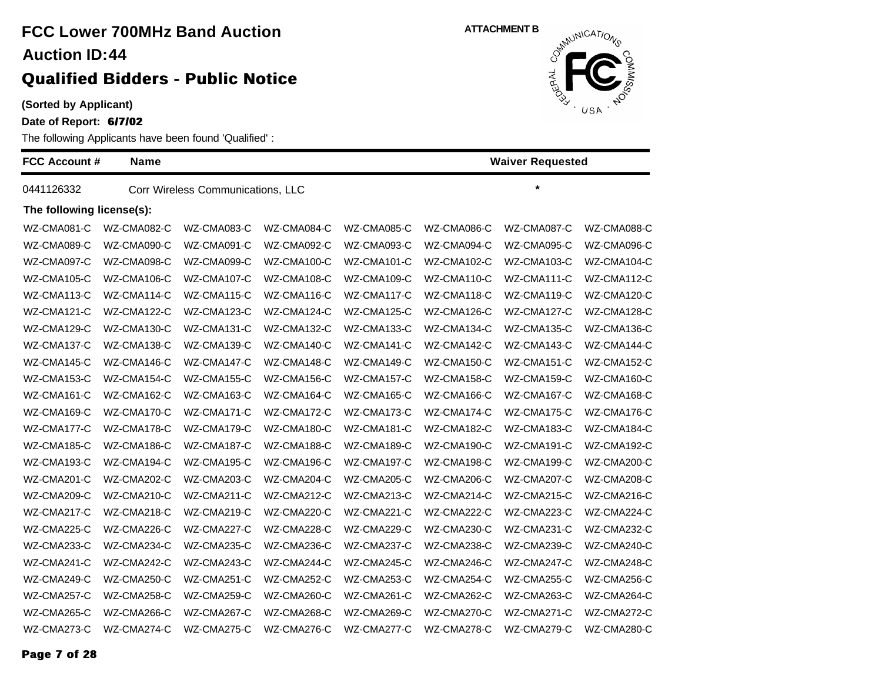### **(Sorted by Applicant)**

**Date of Report: 6/7/02**

| <b>FCC Account #</b>      | <b>Name</b> |                                   |             |             |             | <b>Waiver Requested</b> |             |
|---------------------------|-------------|-----------------------------------|-------------|-------------|-------------|-------------------------|-------------|
| 0441126332                |             | Corr Wireless Communications, LLC |             |             |             | $\star$                 |             |
| The following license(s): |             |                                   |             |             |             |                         |             |
| WZ-CMA081-C               | WZ-CMA082-C | WZ-CMA083-C                       | WZ-CMA084-C | WZ-CMA085-C | WZ-CMA086-C | WZ-CMA087-C             | WZ-CMA088-C |
| WZ-CMA089-C               | WZ-CMA090-C | WZ-CMA091-C                       | WZ-CMA092-C | WZ-CMA093-C | WZ-CMA094-C | WZ-CMA095-C             | WZ-CMA096-C |
| WZ-CMA097-C               | WZ-CMA098-C | WZ-CMA099-C                       | WZ-CMA100-C | WZ-CMA101-C | WZ-CMA102-C | WZ-CMA103-C             | WZ-CMA104-C |
| WZ-CMA105-C               | WZ-CMA106-C | WZ-CMA107-C                       | WZ-CMA108-C | WZ-CMA109-C | WZ-CMA110-C | WZ-CMA111-C             | WZ-CMA112-C |
| WZ-CMA113-C               | WZ-CMA114-C | WZ-CMA115-C                       | WZ-CMA116-C | WZ-CMA117-C | WZ-CMA118-C | WZ-CMA119-C             | WZ-CMA120-C |
| WZ-CMA121-C               | WZ-CMA122-C | WZ-CMA123-C                       | WZ-CMA124-C | WZ-CMA125-C | WZ-CMA126-C | WZ-CMA127-C             | WZ-CMA128-C |
| WZ-CMA129-C               | WZ-CMA130-C | WZ-CMA131-C                       | WZ-CMA132-C | WZ-CMA133-C | WZ-CMA134-C | WZ-CMA135-C             | WZ-CMA136-C |
| WZ-CMA137-C               | WZ-CMA138-C | WZ-CMA139-C                       | WZ-CMA140-C | WZ-CMA141-C | WZ-CMA142-C | WZ-CMA143-C             | WZ-CMA144-C |
| WZ-CMA145-C               | WZ-CMA146-C | WZ-CMA147-C                       | WZ-CMA148-C | WZ-CMA149-C | WZ-CMA150-C | WZ-CMA151-C             | WZ-CMA152-C |
| WZ-CMA153-C               | WZ-CMA154-C | WZ-CMA155-C                       | WZ-CMA156-C | WZ-CMA157-C | WZ-CMA158-C | WZ-CMA159-C             | WZ-CMA160-C |
| WZ-CMA161-C               | WZ-CMA162-C | WZ-CMA163-C                       | WZ-CMA164-C | WZ-CMA165-C | WZ-CMA166-C | WZ-CMA167-C             | WZ-CMA168-C |
| WZ-CMA169-C               | WZ-CMA170-C | WZ-CMA171-C                       | WZ-CMA172-C | WZ-CMA173-C | WZ-CMA174-C | WZ-CMA175-C             | WZ-CMA176-C |
| WZ-CMA177-C               | WZ-CMA178-C | WZ-CMA179-C                       | WZ-CMA180-C | WZ-CMA181-C | WZ-CMA182-C | WZ-CMA183-C             | WZ-CMA184-C |
| WZ-CMA185-C               | WZ-CMA186-C | WZ-CMA187-C                       | WZ-CMA188-C | WZ-CMA189-C | WZ-CMA190-C | WZ-CMA191-C             | WZ-CMA192-C |
| WZ-CMA193-C               | WZ-CMA194-C | WZ-CMA195-C                       | WZ-CMA196-C | WZ-CMA197-C | WZ-CMA198-C | WZ-CMA199-C             | WZ-CMA200-C |
| WZ-CMA201-C               | WZ-CMA202-C | WZ-CMA203-C                       | WZ-CMA204-C | WZ-CMA205-C | WZ-CMA206-C | WZ-CMA207-C             | WZ-CMA208-C |
| WZ-CMA209-C               | WZ-CMA210-C | WZ-CMA211-C                       | WZ-CMA212-C | WZ-CMA213-C | WZ-CMA214-C | WZ-CMA215-C             | WZ-CMA216-C |
| WZ-CMA217-C               | WZ-CMA218-C | WZ-CMA219-C                       | WZ-CMA220-C | WZ-CMA221-C | WZ-CMA222-C | WZ-CMA223-C             | WZ-CMA224-C |
| WZ-CMA225-C               | WZ-CMA226-C | WZ-CMA227-C                       | WZ-CMA228-C | WZ-CMA229-C | WZ-CMA230-C | WZ-CMA231-C             | WZ-CMA232-C |
| WZ-CMA233-C               | WZ-CMA234-C | WZ-CMA235-C                       | WZ-CMA236-C | WZ-CMA237-C | WZ-CMA238-C | WZ-CMA239-C             | WZ-CMA240-C |
| WZ-CMA241-C               | WZ-CMA242-C | WZ-CMA243-C                       | WZ-CMA244-C | WZ-CMA245-C | WZ-CMA246-C | WZ-CMA247-C             | WZ-CMA248-C |
| WZ-CMA249-C               | WZ-CMA250-C | WZ-CMA251-C                       | WZ-CMA252-C | WZ-CMA253-C | WZ-CMA254-C | WZ-CMA255-C             | WZ-CMA256-C |
| WZ-CMA257-C               | WZ-CMA258-C | WZ-CMA259-C                       | WZ-CMA260-C | WZ-CMA261-C | WZ-CMA262-C | WZ-CMA263-C             | WZ-CMA264-C |
| WZ-CMA265-C               | WZ-CMA266-C | WZ-CMA267-C                       | WZ-CMA268-C | WZ-CMA269-C | WZ-CMA270-C | WZ-CMA271-C             | WZ-CMA272-C |
| WZ-CMA273-C               | WZ-CMA274-C | WZ-CMA275-C                       | WZ-CMA276-C | WZ-CMA277-C | WZ-CMA278-C | WZ-CMA279-C             | WZ-CMA280-C |

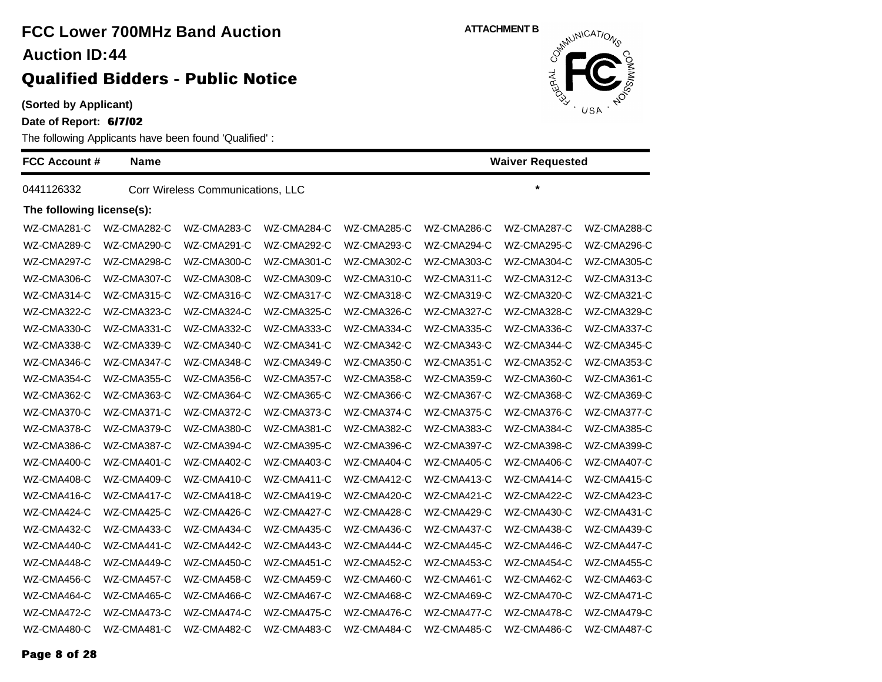### **(Sorted by Applicant)**

**Date of Report: 6/7/02**

| <b>FCC Account #</b>      | <b>Name</b> |                                   |             |             | <b>Waiver Requested</b> |             |             |  |
|---------------------------|-------------|-----------------------------------|-------------|-------------|-------------------------|-------------|-------------|--|
| 0441126332                |             | Corr Wireless Communications, LLC |             |             |                         | $\star$     |             |  |
| The following license(s): |             |                                   |             |             |                         |             |             |  |
| WZ-CMA281-C               | WZ-CMA282-C | WZ-CMA283-C                       | WZ-CMA284-C | WZ-CMA285-C | WZ-CMA286-C             | WZ-CMA287-C | WZ-CMA288-C |  |
| WZ-CMA289-C               | WZ-CMA290-C | WZ-CMA291-C                       | WZ-CMA292-C | WZ-CMA293-C | WZ-CMA294-C             | WZ-CMA295-C | WZ-CMA296-C |  |
| WZ-CMA297-C               | WZ-CMA298-C | WZ-CMA300-C                       | WZ-CMA301-C | WZ-CMA302-C | WZ-CMA303-C             | WZ-CMA304-C | WZ-CMA305-C |  |
| WZ-CMA306-C               | WZ-CMA307-C | WZ-CMA308-C                       | WZ-CMA309-C | WZ-CMA310-C | WZ-CMA311-C             | WZ-CMA312-C | WZ-CMA313-C |  |
| WZ-CMA314-C               | WZ-CMA315-C | WZ-CMA316-C                       | WZ-CMA317-C | WZ-CMA318-C | WZ-CMA319-C             | WZ-CMA320-C | WZ-CMA321-C |  |
| WZ-CMA322-C               | WZ-CMA323-C | WZ-CMA324-C                       | WZ-CMA325-C | WZ-CMA326-C | WZ-CMA327-C             | WZ-CMA328-C | WZ-CMA329-C |  |
| WZ-CMA330-C               | WZ-CMA331-C | WZ-CMA332-C                       | WZ-CMA333-C | WZ-CMA334-C | WZ-CMA335-C             | WZ-CMA336-C | WZ-CMA337-C |  |
| WZ-CMA338-C               | WZ-CMA339-C | WZ-CMA340-C                       | WZ-CMA341-C | WZ-CMA342-C | WZ-CMA343-C             | WZ-CMA344-C | WZ-CMA345-C |  |
| WZ-CMA346-C               | WZ-CMA347-C | WZ-CMA348-C                       | WZ-CMA349-C | WZ-CMA350-C | WZ-CMA351-C             | WZ-CMA352-C | WZ-CMA353-C |  |
| WZ-CMA354-C               | WZ-CMA355-C | WZ-CMA356-C                       | WZ-CMA357-C | WZ-CMA358-C | WZ-CMA359-C             | WZ-CMA360-C | WZ-CMA361-C |  |
| WZ-CMA362-C               | WZ-CMA363-C | WZ-CMA364-C                       | WZ-CMA365-C | WZ-CMA366-C | WZ-CMA367-C             | WZ-CMA368-C | WZ-CMA369-C |  |
| WZ-CMA370-C               | WZ-CMA371-C | WZ-CMA372-C                       | WZ-CMA373-C | WZ-CMA374-C | WZ-CMA375-C             | WZ-CMA376-C | WZ-CMA377-C |  |
| WZ-CMA378-C               | WZ-CMA379-C | WZ-CMA380-C                       | WZ-CMA381-C | WZ-CMA382-C | WZ-CMA383-C             | WZ-CMA384-C | WZ-CMA385-C |  |
| WZ-CMA386-C               | WZ-CMA387-C | WZ-CMA394-C                       | WZ-CMA395-C | WZ-CMA396-C | WZ-CMA397-C             | WZ-CMA398-C | WZ-CMA399-C |  |
| WZ-CMA400-C               | WZ-CMA401-C | WZ-CMA402-C                       | WZ-CMA403-C | WZ-CMA404-C | WZ-CMA405-C             | WZ-CMA406-C | WZ-CMA407-C |  |
| WZ-CMA408-C               | WZ-CMA409-C | WZ-CMA410-C                       | WZ-CMA411-C | WZ-CMA412-C | WZ-CMA413-C             | WZ-CMA414-C | WZ-CMA415-C |  |
| WZ-CMA416-C               | WZ-CMA417-C | WZ-CMA418-C                       | WZ-CMA419-C | WZ-CMA420-C | WZ-CMA421-C             | WZ-CMA422-C | WZ-CMA423-C |  |
| WZ-CMA424-C               | WZ-CMA425-C | WZ-CMA426-C                       | WZ-CMA427-C | WZ-CMA428-C | WZ-CMA429-C             | WZ-CMA430-C | WZ-CMA431-C |  |
| WZ-CMA432-C               | WZ-CMA433-C | WZ-CMA434-C                       | WZ-CMA435-C | WZ-CMA436-C | WZ-CMA437-C             | WZ-CMA438-C | WZ-CMA439-C |  |
| WZ-CMA440-C               | WZ-CMA441-C | WZ-CMA442-C                       | WZ-CMA443-C | WZ-CMA444-C | WZ-CMA445-C             | WZ-CMA446-C | WZ-CMA447-C |  |
| WZ-CMA448-C               | WZ-CMA449-C | WZ-CMA450-C                       | WZ-CMA451-C | WZ-CMA452-C | WZ-CMA453-C             | WZ-CMA454-C | WZ-CMA455-C |  |
| WZ-CMA456-C               | WZ-CMA457-C | WZ-CMA458-C                       | WZ-CMA459-C | WZ-CMA460-C | WZ-CMA461-C             | WZ-CMA462-C | WZ-CMA463-C |  |
| WZ-CMA464-C               | WZ-CMA465-C | WZ-CMA466-C                       | WZ-CMA467-C | WZ-CMA468-C | WZ-CMA469-C             | WZ-CMA470-C | WZ-CMA471-C |  |
| WZ-CMA472-C               | WZ-CMA473-C | WZ-CMA474-C                       | WZ-CMA475-C | WZ-CMA476-C | WZ-CMA477-C             | WZ-CMA478-C | WZ-CMA479-C |  |
| WZ-CMA480-C               | WZ-CMA481-C | WZ-CMA482-C                       | WZ-CMA483-C | WZ-CMA484-C | WZ-CMA485-C             | WZ-CMA486-C | WZ-CMA487-C |  |

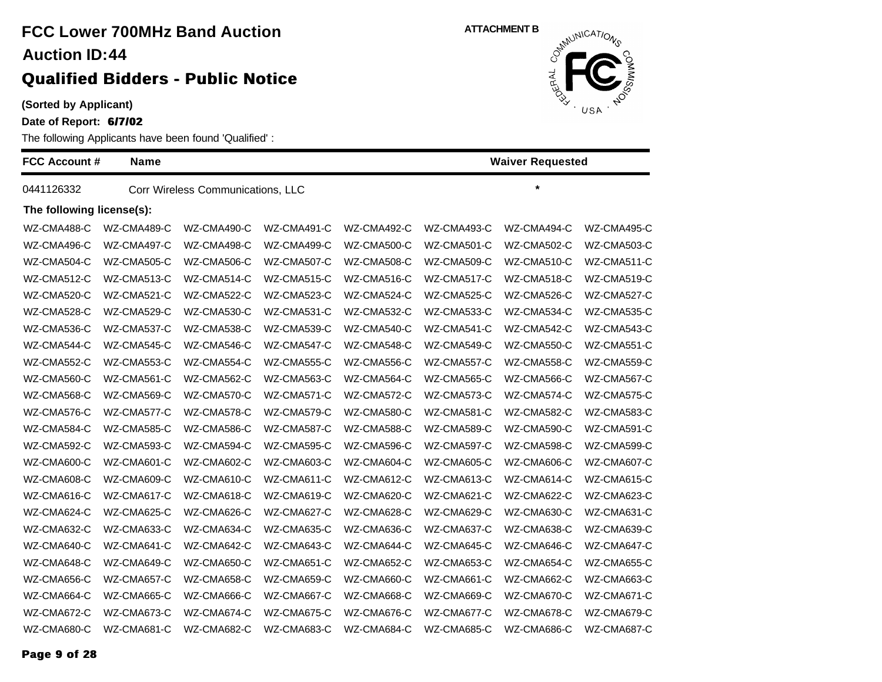### **(Sorted by Applicant)**

**Date of Report: 6/7/02**

| <b>FCC Account #</b>      | <b>Name</b><br><b>Waiver Requested</b> |                                   |             |             |             |             |             |
|---------------------------|----------------------------------------|-----------------------------------|-------------|-------------|-------------|-------------|-------------|
| 0441126332                |                                        | Corr Wireless Communications, LLC |             |             |             | $\star$     |             |
| The following license(s): |                                        |                                   |             |             |             |             |             |
| WZ-CMA488-C               | WZ-CMA489-C                            | WZ-CMA490-C                       | WZ-CMA491-C | WZ-CMA492-C | WZ-CMA493-C | WZ-CMA494-C | WZ-CMA495-C |
| WZ-CMA496-C               | WZ-CMA497-C                            | WZ-CMA498-C                       | WZ-CMA499-C | WZ-CMA500-C | WZ-CMA501-C | WZ-CMA502-C | WZ-CMA503-C |
| WZ-CMA504-C               | WZ-CMA505-C                            | WZ-CMA506-C                       | WZ-CMA507-C | WZ-CMA508-C | WZ-CMA509-C | WZ-CMA510-C | WZ-CMA511-C |
| WZ-CMA512-C               | WZ-CMA513-C                            | WZ-CMA514-C                       | WZ-CMA515-C | WZ-CMA516-C | WZ-CMA517-C | WZ-CMA518-C | WZ-CMA519-C |
| WZ-CMA520-C               | WZ-CMA521-C                            | WZ-CMA522-C                       | WZ-CMA523-C | WZ-CMA524-C | WZ-CMA525-C | WZ-CMA526-C | WZ-CMA527-C |
| WZ-CMA528-C               | WZ-CMA529-C                            | WZ-CMA530-C                       | WZ-CMA531-C | WZ-CMA532-C | WZ-CMA533-C | WZ-CMA534-C | WZ-CMA535-C |
| WZ-CMA536-C               | WZ-CMA537-C                            | WZ-CMA538-C                       | WZ-CMA539-C | WZ-CMA540-C | WZ-CMA541-C | WZ-CMA542-C | WZ-CMA543-C |
| WZ-CMA544-C               | WZ-CMA545-C                            | WZ-CMA546-C                       | WZ-CMA547-C | WZ-CMA548-C | WZ-CMA549-C | WZ-CMA550-C | WZ-CMA551-C |
| WZ-CMA552-C               | WZ-CMA553-C                            | WZ-CMA554-C                       | WZ-CMA555-C | WZ-CMA556-C | WZ-CMA557-C | WZ-CMA558-C | WZ-CMA559-C |
| WZ-CMA560-C               | WZ-CMA561-C                            | WZ-CMA562-C                       | WZ-CMA563-C | WZ-CMA564-C | WZ-CMA565-C | WZ-CMA566-C | WZ-CMA567-C |
| WZ-CMA568-C               | WZ-CMA569-C                            | WZ-CMA570-C                       | WZ-CMA571-C | WZ-CMA572-C | WZ-CMA573-C | WZ-CMA574-C | WZ-CMA575-C |
| WZ-CMA576-C               | WZ-CMA577-C                            | WZ-CMA578-C                       | WZ-CMA579-C | WZ-CMA580-C | WZ-CMA581-C | WZ-CMA582-C | WZ-CMA583-C |
| WZ-CMA584-C               | WZ-CMA585-C                            | WZ-CMA586-C                       | WZ-CMA587-C | WZ-CMA588-C | WZ-CMA589-C | WZ-CMA590-C | WZ-CMA591-C |
| WZ-CMA592-C               | WZ-CMA593-C                            | WZ-CMA594-C                       | WZ-CMA595-C | WZ-CMA596-C | WZ-CMA597-C | WZ-CMA598-C | WZ-CMA599-C |
| WZ-CMA600-C               | WZ-CMA601-C                            | WZ-CMA602-C                       | WZ-CMA603-C | WZ-CMA604-C | WZ-CMA605-C | WZ-CMA606-C | WZ-CMA607-C |
| WZ-CMA608-C               | WZ-CMA609-C                            | WZ-CMA610-C                       | WZ-CMA611-C | WZ-CMA612-C | WZ-CMA613-C | WZ-CMA614-C | WZ-CMA615-C |
| WZ-CMA616-C               | WZ-CMA617-C                            | WZ-CMA618-C                       | WZ-CMA619-C | WZ-CMA620-C | WZ-CMA621-C | WZ-CMA622-C | WZ-CMA623-C |
| WZ-CMA624-C               | WZ-CMA625-C                            | WZ-CMA626-C                       | WZ-CMA627-C | WZ-CMA628-C | WZ-CMA629-C | WZ-CMA630-C | WZ-CMA631-C |
| WZ-CMA632-C               | WZ-CMA633-C                            | WZ-CMA634-C                       | WZ-CMA635-C | WZ-CMA636-C | WZ-CMA637-C | WZ-CMA638-C | WZ-CMA639-C |
| WZ-CMA640-C               | WZ-CMA641-C                            | WZ-CMA642-C                       | WZ-CMA643-C | WZ-CMA644-C | WZ-CMA645-C | WZ-CMA646-C | WZ-CMA647-C |
| WZ-CMA648-C               | WZ-CMA649-C                            | WZ-CMA650-C                       | WZ-CMA651-C | WZ-CMA652-C | WZ-CMA653-C | WZ-CMA654-C | WZ-CMA655-C |
| WZ-CMA656-C               | WZ-CMA657-C                            | WZ-CMA658-C                       | WZ-CMA659-C | WZ-CMA660-C | WZ-CMA661-C | WZ-CMA662-C | WZ-CMA663-C |
| WZ-CMA664-C               | WZ-CMA665-C                            | WZ-CMA666-C                       | WZ-CMA667-C | WZ-CMA668-C | WZ-CMA669-C | WZ-CMA670-C | WZ-CMA671-C |
| WZ-CMA672-C               | WZ-CMA673-C                            | WZ-CMA674-C                       | WZ-CMA675-C | WZ-CMA676-C | WZ-CMA677-C | WZ-CMA678-C | WZ-CMA679-C |
| WZ-CMA680-C               | WZ-CMA681-C                            | WZ-CMA682-C                       | WZ-CMA683-C | WZ-CMA684-C | WZ-CMA685-C | WZ-CMA686-C | WZ-CMA687-C |

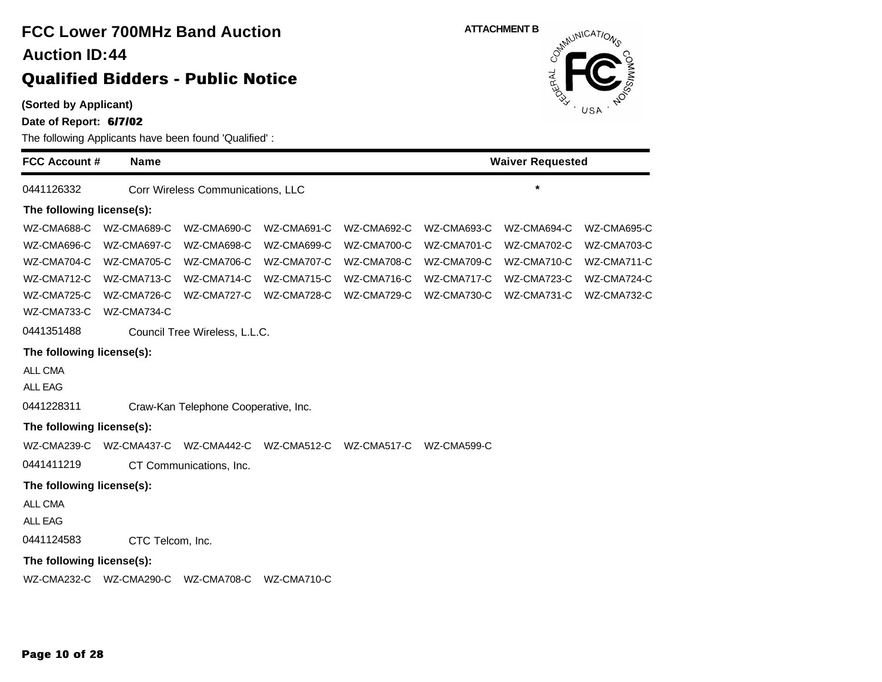

**Date of Report: 6/7/02**

The following Applicants have been found 'Qualified' :

| <b>FCC Account #</b>      | <b>Name</b>      |                                      |             |             | <b>Waiver Requested</b> |             |             |  |  |
|---------------------------|------------------|--------------------------------------|-------------|-------------|-------------------------|-------------|-------------|--|--|
| 0441126332                |                  | Corr Wireless Communications, LLC    |             |             |                         | $\star$     |             |  |  |
| The following license(s): |                  |                                      |             |             |                         |             |             |  |  |
| WZ-CMA688-C               | WZ-CMA689-C      | WZ-CMA690-C                          | WZ-CMA691-C | WZ-CMA692-C | WZ-CMA693-C             | WZ-CMA694-C | WZ-CMA695-C |  |  |
| WZ-CMA696-C               | WZ-CMA697-C      | WZ-CMA698-C                          | WZ-CMA699-C | WZ-CMA700-C | WZ-CMA701-C             | WZ-CMA702-C | WZ-CMA703-C |  |  |
| WZ-CMA704-C               | WZ-CMA705-C      | WZ-CMA706-C                          | WZ-CMA707-C | WZ-CMA708-C | WZ-CMA709-C             | WZ-CMA710-C | WZ-CMA711-C |  |  |
| WZ-CMA712-C               | WZ-CMA713-C      | WZ-CMA714-C                          | WZ-CMA715-C | WZ-CMA716-C | WZ-CMA717-C             | WZ-CMA723-C | WZ-CMA724-C |  |  |
| WZ-CMA725-C               | WZ-CMA726-C      | WZ-CMA727-C                          | WZ-CMA728-C | WZ-CMA729-C | WZ-CMA730-C             | WZ-CMA731-C | WZ-CMA732-C |  |  |
| WZ-CMA733-C               | WZ-CMA734-C      |                                      |             |             |                         |             |             |  |  |
| 0441351488                |                  | Council Tree Wireless, L.L.C.        |             |             |                         |             |             |  |  |
| The following license(s): |                  |                                      |             |             |                         |             |             |  |  |
| ALL CMA                   |                  |                                      |             |             |                         |             |             |  |  |
| <b>ALL EAG</b>            |                  |                                      |             |             |                         |             |             |  |  |
| 0441228311                |                  | Craw-Kan Telephone Cooperative, Inc. |             |             |                         |             |             |  |  |
| The following license(s): |                  |                                      |             |             |                         |             |             |  |  |
| WZ-CMA239-C               | WZ-CMA437-C      | WZ-CMA442-C                          | WZ-CMA512-C | WZ-CMA517-C | WZ-CMA599-C             |             |             |  |  |
| 0441411219                |                  | CT Communications, Inc.              |             |             |                         |             |             |  |  |
| The following license(s): |                  |                                      |             |             |                         |             |             |  |  |
| ALL CMA                   |                  |                                      |             |             |                         |             |             |  |  |
| <b>ALL EAG</b>            |                  |                                      |             |             |                         |             |             |  |  |
| 0441124583                | CTC Telcom, Inc. |                                      |             |             |                         |             |             |  |  |
| The following license(s): |                  |                                      |             |             |                         |             |             |  |  |
| WZ-CMA232-C               | WZ-CMA290-C      | WZ-CMA708-C                          | WZ-CMA710-C |             |                         |             |             |  |  |
|                           |                  |                                      |             |             |                         |             |             |  |  |

**ATTACHMENT B**<br>  $S^{h^{\text{M} \cup N \cup C \text{A} \text{7}} \cap \text{A}}$ 

ERAL

USA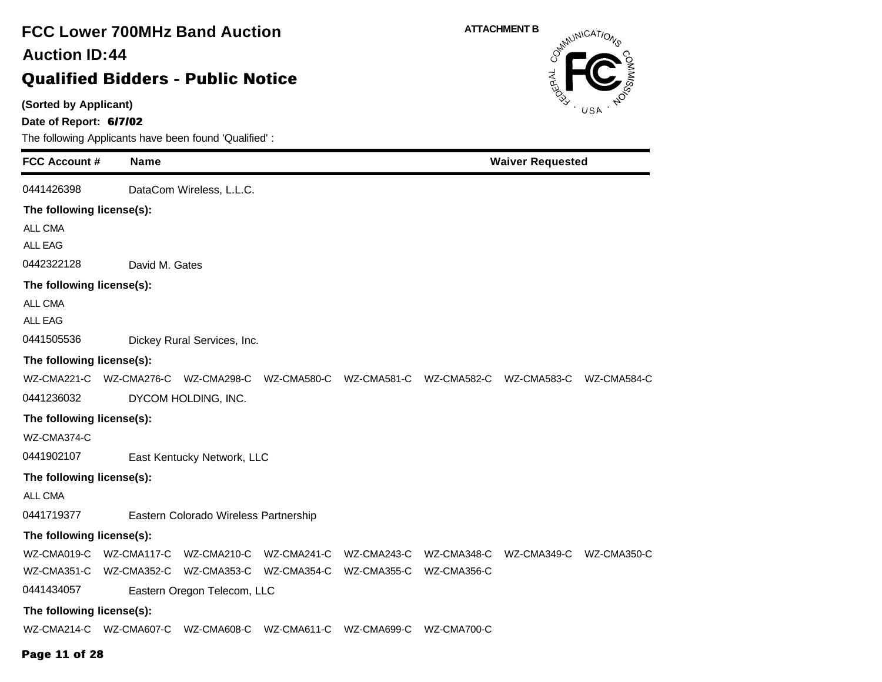### **(Sorted by Applicant) Date of Report: 6/7/02** The following Applicants have been found 'Qualified' : **FCC Account # Name FCC Lower 700MHz Band Auction Qualified Bidders - Public Notice 44 Auction ID: ATTACHMENT B**<br>  $\delta^{mN}$ **Waiver Requested** 0441426398 DataCom Wireless, L.L.C. **The following license(s):** ALL CMA ALL EAG 0442322128 David M. Gates **The following license(s):** ALL CMA ALL EAG 0441505536 Dickey Rural Services, Inc. **The following license(s):** WZ-CMA221-C WZ-CMA276-C WZ-CMA298-C WZ-CMA580-C WZ-CMA581-C WZ-CMA582-C WZ-CMA583-C WZ-CMA584-C 0441236032 DYCOM HOLDING, INC. **The following license(s):** WZ-CMA374-C 0441902107 East Kentucky Network, LLC **The following license(s):** ALL CMA 0441719377 Eastern Colorado Wireless Partnership **The following license(s):** WZ-CMA019-C WZ-CMA117-C WZ-CMA210-C WZ-CMA241-C WZ-CMA243-C WZ-CMA348-C WZ-CMA349-C WZ-CMA350-C WZ-CMA351-C WZ-CMA352-C WZ-CMA353-C WZ-CMA354-C WZ-CMA355-C WZ-CMA356-C 0441434057 Eastern Oregon Telecom, LLC **The following license(s):** WZ-CMA214-C WZ-CMA607-C WZ-CMA608-C WZ-CMA611-C WZ-CMA699-C WZ-CMA700-C

#### **Page 11 of 28**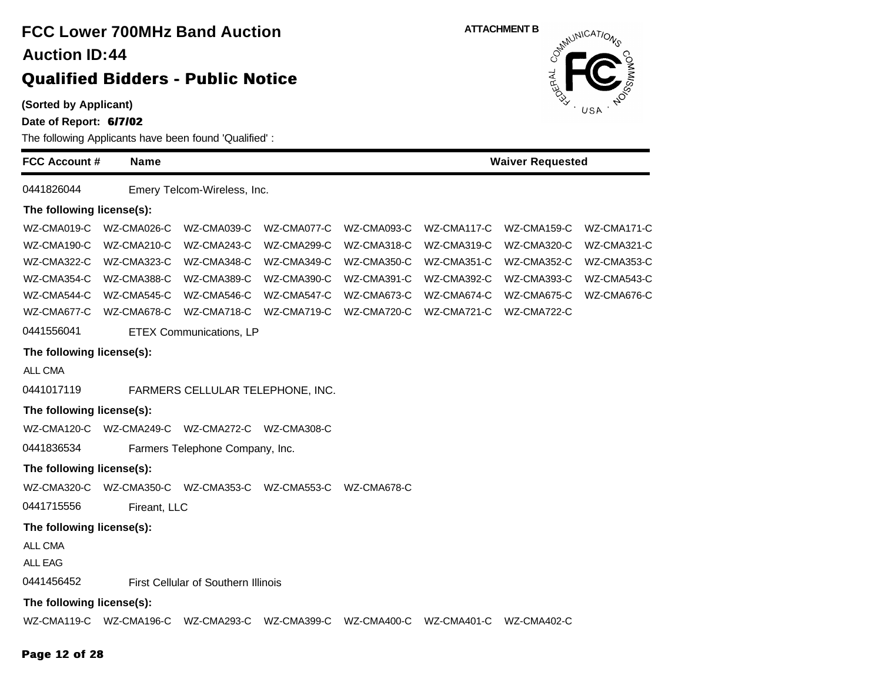| <b>FCC Lower 700MHz Band Auction</b><br><b>Auction ID:44</b>                                                                                         |              |                                     |             |             | <b>ATTACHMENT B</b><br>Communications |             |             |  |  |
|------------------------------------------------------------------------------------------------------------------------------------------------------|--------------|-------------------------------------|-------------|-------------|---------------------------------------|-------------|-------------|--|--|
| <b>Qualified Bidders - Public Notice</b><br>(Sorted by Applicant)<br>Date of Report: 6/7/02<br>The following Applicants have been found 'Qualified': |              |                                     |             |             |                                       | RAL         | USA         |  |  |
| <b>FCC Account #</b>                                                                                                                                 | <b>Name</b>  |                                     |             |             | <b>Waiver Requested</b>               |             |             |  |  |
| 0441826044                                                                                                                                           |              | Emery Telcom-Wireless, Inc.         |             |             |                                       |             |             |  |  |
| The following license(s):                                                                                                                            |              |                                     |             |             |                                       |             |             |  |  |
| WZ-CMA019-C                                                                                                                                          | WZ-CMA026-C  | WZ-CMA039-C                         | WZ-CMA077-C | WZ-CMA093-C | WZ-CMA117-C                           | WZ-CMA159-C | WZ-CMA171-C |  |  |
| WZ-CMA190-C                                                                                                                                          | WZ-CMA210-C  | WZ-CMA243-C                         | WZ-CMA299-C | WZ-CMA318-C | WZ-CMA319-C                           | WZ-CMA320-C | WZ-CMA321-C |  |  |
| WZ-CMA322-C                                                                                                                                          | WZ-CMA323-C  | WZ-CMA348-C                         | WZ-CMA349-C | WZ-CMA350-C | WZ-CMA351-C                           | WZ-CMA352-C | WZ-CMA353-C |  |  |
| WZ-CMA354-C                                                                                                                                          | WZ-CMA388-C  | WZ-CMA389-C                         | WZ-CMA390-C | WZ-CMA391-C | WZ-CMA392-C                           | WZ-CMA393-C | WZ-CMA543-C |  |  |
| WZ-CMA544-C                                                                                                                                          | WZ-CMA545-C  | WZ-CMA546-C                         | WZ-CMA547-C | WZ-CMA673-C | WZ-CMA674-C                           | WZ-CMA675-C | WZ-CMA676-C |  |  |
| WZ-CMA677-C                                                                                                                                          | WZ-CMA678-C  | WZ-CMA718-C                         | WZ-CMA719-C | WZ-CMA720-C | WZ-CMA721-C                           | WZ-CMA722-C |             |  |  |
| 0441556041                                                                                                                                           |              | <b>ETEX Communications, LP</b>      |             |             |                                       |             |             |  |  |
| The following license(s):                                                                                                                            |              |                                     |             |             |                                       |             |             |  |  |
| ALL CMA                                                                                                                                              |              |                                     |             |             |                                       |             |             |  |  |
| 0441017119                                                                                                                                           |              | FARMERS CELLULAR TELEPHONE, INC.    |             |             |                                       |             |             |  |  |
| The following license(s):                                                                                                                            |              |                                     |             |             |                                       |             |             |  |  |
| WZ-CMA120-C                                                                                                                                          | WZ-CMA249-C  | WZ-CMA272-C WZ-CMA308-C             |             |             |                                       |             |             |  |  |
| 0441836534                                                                                                                                           |              | Farmers Telephone Company, Inc.     |             |             |                                       |             |             |  |  |
| The following license(s):                                                                                                                            |              |                                     |             |             |                                       |             |             |  |  |
| WZ-CMA320-C                                                                                                                                          | WZ-CMA350-C  | WZ-CMA353-C                         | WZ-CMA553-C | WZ-CMA678-C |                                       |             |             |  |  |
| 0441715556                                                                                                                                           | Fireant, LLC |                                     |             |             |                                       |             |             |  |  |
| The following license(s):                                                                                                                            |              |                                     |             |             |                                       |             |             |  |  |
| ALL CMA<br><b>ALL EAG</b>                                                                                                                            |              |                                     |             |             |                                       |             |             |  |  |
| 0441456452                                                                                                                                           |              | First Cellular of Southern Illinois |             |             |                                       |             |             |  |  |
| The following license(s):                                                                                                                            |              |                                     |             |             |                                       |             |             |  |  |
| WZ-CMA119-C WZ-CMA196-C                                                                                                                              |              | WZ-CMA293-C                         | WZ-CMA399-C | WZ-CMA400-C | WZ-CMA401-C                           | WZ-CMA402-C |             |  |  |

### **Page 12 of 28**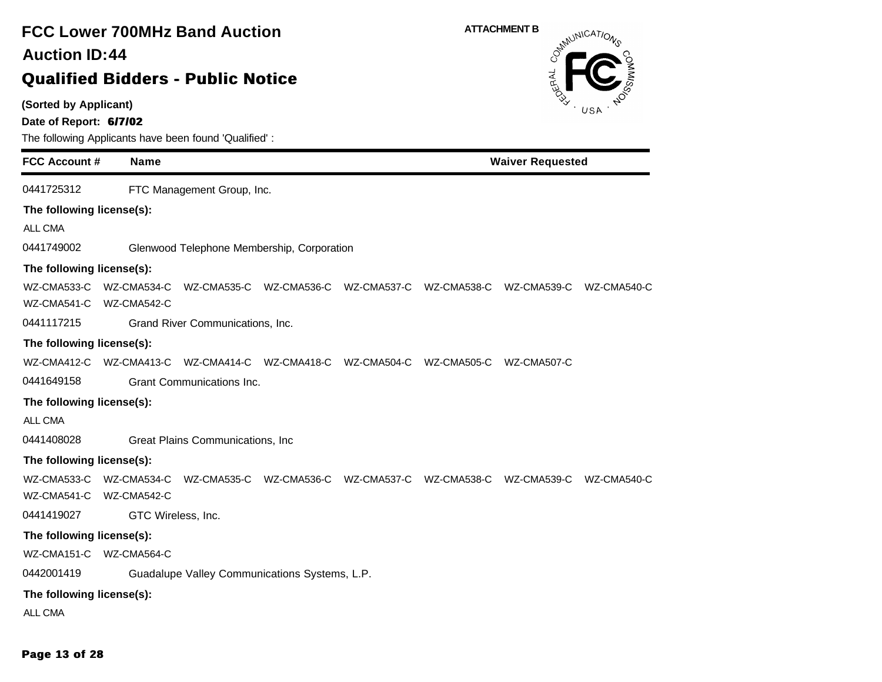| <b>FCC Lower 700MHz Band Auction</b><br><b>Auction ID:44</b><br><b>Qualified Bidders - Public Notice</b>                                                            | <b>ATTACHMENT B</b><br>OSMAUNICATIONS     |
|---------------------------------------------------------------------------------------------------------------------------------------------------------------------|-------------------------------------------|
| (Sorted by Applicant)<br>Date of Report: 6/7/02<br>The following Applicants have been found 'Qualified':                                                            | USA                                       |
| <b>FCC Account #</b><br><b>Name</b>                                                                                                                                 | <b>Waiver Requested</b>                   |
| 0441725312<br>FTC Management Group, Inc.                                                                                                                            |                                           |
| The following license(s):<br>ALL CMA<br>0441749002<br>Glenwood Telephone Membership, Corporation                                                                    |                                           |
| The following license(s):                                                                                                                                           |                                           |
| WZ-CMA533-C<br>WZ-CMA534-C<br>WZ-CMA535-C WZ-CMA536-C<br>WZ-CMA537-C<br>WZ-CMA541-C WZ-CMA542-C                                                                     | WZ-CMA538-C<br>WZ-CMA539-C<br>WZ-CMA540-C |
| 0441117215<br>Grand River Communications, Inc.                                                                                                                      |                                           |
| The following license(s):                                                                                                                                           |                                           |
| WZ-CMA412-C WZ-CMA413-C WZ-CMA414-C WZ-CMA418-C WZ-CMA504-C WZ-CMA505-C WZ-CMA507-C                                                                                 |                                           |
| 0441649158<br>Grant Communications Inc.                                                                                                                             |                                           |
| The following license(s):                                                                                                                                           |                                           |
| <b>ALL CMA</b>                                                                                                                                                      |                                           |
| 0441408028<br>Great Plains Communications, Inc.                                                                                                                     |                                           |
| The following license(s):<br>WZ-CMA535-C WZ-CMA536-C<br>WZ-CMA533-C<br>WZ-CMA534-C<br>WZ-CMA537-C<br>WZ-CMA541-C<br>WZ-CMA542-C<br>0441419027<br>GTC Wireless, Inc. | WZ-CMA538-C<br>WZ-CMA539-C<br>WZ-CMA540-C |
| The following license(s):                                                                                                                                           |                                           |
| WZ-CMA151-C<br>WZ-CMA564-C                                                                                                                                          |                                           |
| 0442001419<br>Guadalupe Valley Communications Systems, L.P.                                                                                                         |                                           |
| The following license(s):                                                                                                                                           |                                           |
| ALL CMA                                                                                                                                                             |                                           |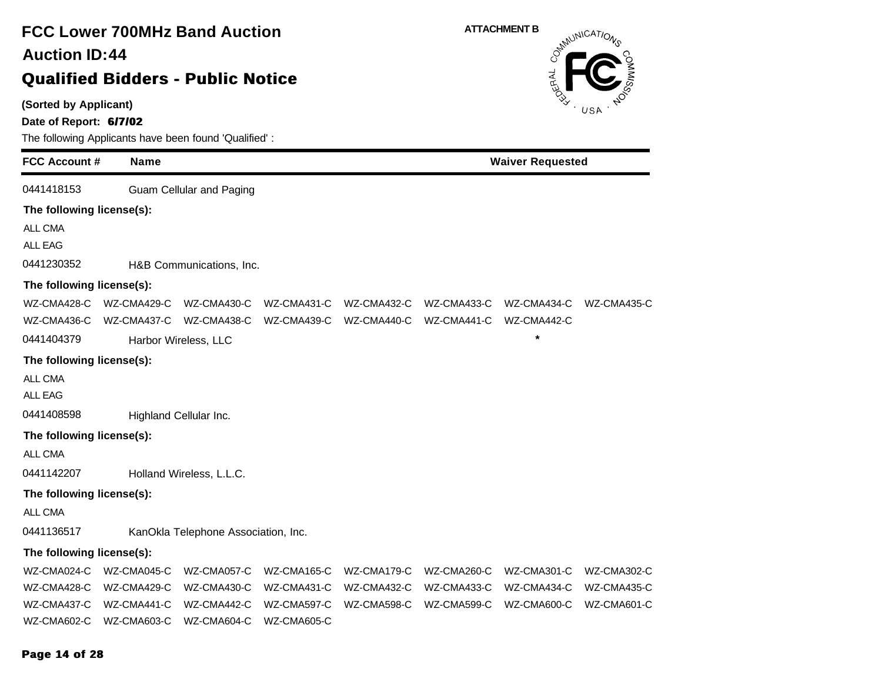**(Sorted by Applicant)**

**Date of Report: 6/7/02**

| <b>FCC Account #</b>      | <b>Name</b>                     |                                     |             |             | <b>Waiver Requested</b> |             |             |  |
|---------------------------|---------------------------------|-------------------------------------|-------------|-------------|-------------------------|-------------|-------------|--|
| 0441418153                |                                 | <b>Guam Cellular and Paging</b>     |             |             |                         |             |             |  |
| The following license(s): |                                 |                                     |             |             |                         |             |             |  |
| ALL CMA                   |                                 |                                     |             |             |                         |             |             |  |
| <b>ALL EAG</b>            |                                 |                                     |             |             |                         |             |             |  |
| 0441230352                |                                 | H&B Communications, Inc.            |             |             |                         |             |             |  |
| The following license(s): |                                 |                                     |             |             |                         |             |             |  |
| WZ-CMA428-C               | WZ-CMA429-C                     | WZ-CMA430-C                         | WZ-CMA431-C | WZ-CMA432-C | WZ-CMA433-C             | WZ-CMA434-C | WZ-CMA435-C |  |
| WZ-CMA436-C               | WZ-CMA437-C                     | WZ-CMA438-C                         | WZ-CMA439-C | WZ-CMA440-C | WZ-CMA441-C             | WZ-CMA442-C |             |  |
| 0441404379                | $\star$<br>Harbor Wireless, LLC |                                     |             |             |                         |             |             |  |
| The following license(s): |                                 |                                     |             |             |                         |             |             |  |
| <b>ALL CMA</b>            |                                 |                                     |             |             |                         |             |             |  |
| <b>ALL EAG</b>            |                                 |                                     |             |             |                         |             |             |  |
| 0441408598                |                                 | Highland Cellular Inc.              |             |             |                         |             |             |  |
| The following license(s): |                                 |                                     |             |             |                         |             |             |  |
| ALL CMA                   |                                 |                                     |             |             |                         |             |             |  |
| 0441142207                |                                 | Holland Wireless, L.L.C.            |             |             |                         |             |             |  |
| The following license(s): |                                 |                                     |             |             |                         |             |             |  |
| ALL CMA                   |                                 |                                     |             |             |                         |             |             |  |
| 0441136517                |                                 | KanOkla Telephone Association, Inc. |             |             |                         |             |             |  |
| The following license(s): |                                 |                                     |             |             |                         |             |             |  |
| WZ-CMA024-C               | WZ-CMA045-C                     | WZ-CMA057-C                         | WZ-CMA165-C | WZ-CMA179-C | WZ-CMA260-C             | WZ-CMA301-C | WZ-CMA302-C |  |
| WZ-CMA428-C               | WZ-CMA429-C                     | WZ-CMA430-C                         | WZ-CMA431-C | WZ-CMA432-C | WZ-CMA433-C             | WZ-CMA434-C | WZ-CMA435-C |  |
| WZ-CMA437-C               | WZ-CMA441-C                     | WZ-CMA442-C                         | WZ-CMA597-C | WZ-CMA598-C | WZ-CMA599-C             | WZ-CMA600-C | WZ-CMA601-C |  |
| WZ-CMA602-C               | WZ-CMA603-C                     | WZ-CMA604-C                         | WZ-CMA605-C |             |                         |             |             |  |

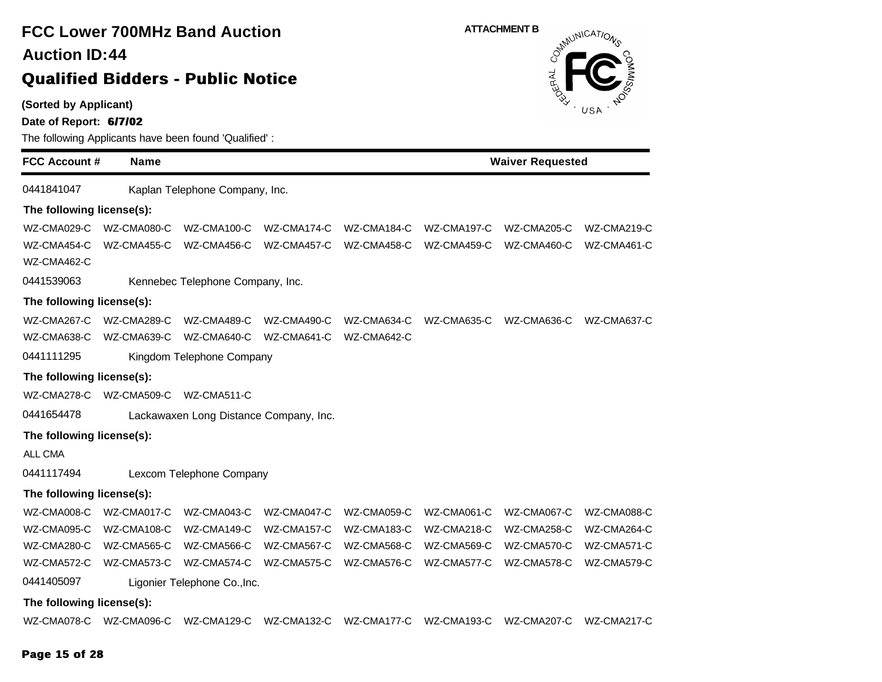**(Sorted by Applicant)**

**Date of Report: 6/7/02**

The following Applicants have been found 'Qualified' :

**FCC Account # Name Waiver Requested** 0441841047 Kaplan Telephone Company, Inc. **The following license(s):** WZ-CMA029-C WZ-CMA080-C WZ-CMA100-C WZ-CMA174-C WZ-CMA184-C WZ-CMA197-C WZ-CMA205-C WZ-CMA219-C WZ-CMA454-C WZ-CMA455-C WZ-CMA456-C WZ-CMA457-C WZ-CMA458-C WZ-CMA459-C WZ-CMA460-C WZ-CMA461-C WZ-CMA462-C 0441539063 Kennebec Telephone Company, Inc. **The following license(s):** WZ-CMA267-C WZ-CMA289-C WZ-CMA489-C WZ-CMA490-C WZ-CMA634-C WZ-CMA635-C WZ-CMA636-C WZ-CMA637-C WZ-CMA638-C WZ-CMA639-C WZ-CMA640-C WZ-CMA641-C WZ-CMA642-C 0441111295 Kingdom Telephone Company **The following license(s):** WZ-CMA278-C WZ-CMA509-C WZ-CMA511-C 0441654478 Lackawaxen Long Distance Company, Inc. **The following license(s):** ALL CMA 0441117494 Lexcom Telephone Company **The following license(s):** WZ-CMA008-C WZ-CMA017-C WZ-CMA043-C WZ-CMA047-C WZ-CMA059-C WZ-CMA061-C WZ-CMA067-C WZ-CMA088-C WZ-CMA095-C WZ-CMA108-C WZ-CMA149-C WZ-CMA157-C WZ-CMA183-C WZ-CMA218-C WZ-CMA258-C WZ-CMA264-C WZ-CMA280-C WZ-CMA565-C WZ-CMA566-C WZ-CMA567-C WZ-CMA568-C WZ-CMA569-C WZ-CMA570-C WZ-CMA571-C WZ-CMA572-C WZ-CMA573-C WZ-CMA574-C WZ-CMA575-C WZ-CMA576-C WZ-CMA577-C WZ-CMA578-C WZ-CMA579-C 0441405097 Ligonier Telephone Co.,Inc. **The following license(s):** WZ-CMA078-C WZ-CMA096-C WZ-CMA129-C WZ-CMA132-C WZ-CMA177-C WZ-CMA193-C WZ-CMA207-C WZ-CMA217-C

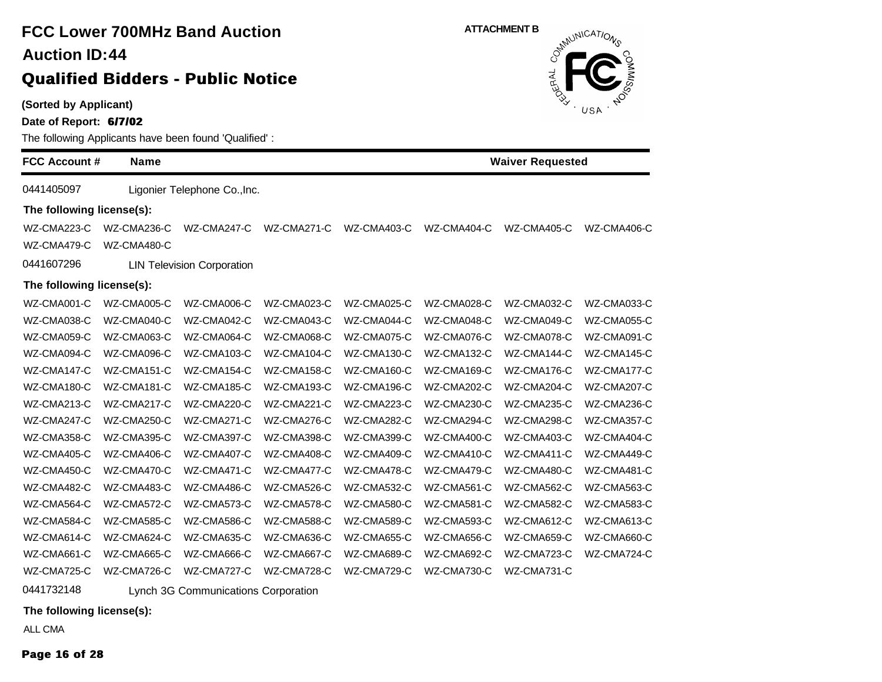# **FCC Lower 700MHz Band Auction 44 Auction ID:**

### **Qualified Bidders - Public Notice**

**(Sorted by Applicant)**

**Date of Report: 6/7/02**

The following Applicants have been found 'Qualified' :

| <b>FCC Account #</b>      | <b>Name</b> |                                   |             | <b>Waiver Requested</b> |             |             |             |
|---------------------------|-------------|-----------------------------------|-------------|-------------------------|-------------|-------------|-------------|
| 0441405097                |             | Ligonier Telephone Co., Inc.      |             |                         |             |             |             |
| The following license(s): |             |                                   |             |                         |             |             |             |
| WZ-CMA223-C               | WZ-CMA236-C | WZ-CMA247-C                       | WZ-CMA271-C | WZ-CMA403-C             | WZ-CMA404-C | WZ-CMA405-C | WZ-CMA406-C |
| WZ-CMA479-C               | WZ-CMA480-C |                                   |             |                         |             |             |             |
| 0441607296                |             | <b>LIN Television Corporation</b> |             |                         |             |             |             |
| The following license(s): |             |                                   |             |                         |             |             |             |
| WZ-CMA001-C               | WZ-CMA005-C | WZ-CMA006-C                       | WZ-CMA023-C | WZ-CMA025-C             | WZ-CMA028-C | WZ-CMA032-C | WZ-CMA033-C |
| WZ-CMA038-C               | WZ-CMA040-C | WZ-CMA042-C                       | WZ-CMA043-C | WZ-CMA044-C             | WZ-CMA048-C | WZ-CMA049-C | WZ-CMA055-C |
| WZ-CMA059-C               | WZ-CMA063-C | WZ-CMA064-C                       | WZ-CMA068-C | WZ-CMA075-C             | WZ-CMA076-C | WZ-CMA078-C | WZ-CMA091-C |
| WZ-CMA094-C               | WZ-CMA096-C | WZ-CMA103-C                       | WZ-CMA104-C | WZ-CMA130-C             | WZ-CMA132-C | WZ-CMA144-C | WZ-CMA145-C |
| WZ-CMA147-C               | WZ-CMA151-C | WZ-CMA154-C                       | WZ-CMA158-C | WZ-CMA160-C             | WZ-CMA169-C | WZ-CMA176-C | WZ-CMA177-C |
| WZ-CMA180-C               | WZ-CMA181-C | WZ-CMA185-C                       | WZ-CMA193-C | WZ-CMA196-C             | WZ-CMA202-C | WZ-CMA204-C | WZ-CMA207-C |
| WZ-CMA213-C               | WZ-CMA217-C | WZ-CMA220-C                       | WZ-CMA221-C | WZ-CMA223-C             | WZ-CMA230-C | WZ-CMA235-C | WZ-CMA236-C |
| WZ-CMA247-C               | WZ-CMA250-C | WZ-CMA271-C                       | WZ-CMA276-C | WZ-CMA282-C             | WZ-CMA294-C | WZ-CMA298-C | WZ-CMA357-C |
| WZ-CMA358-C               | WZ-CMA395-C | WZ-CMA397-C                       | WZ-CMA398-C | WZ-CMA399-C             | WZ-CMA400-C | WZ-CMA403-C | WZ-CMA404-C |
| WZ-CMA405-C               | WZ-CMA406-C | WZ-CMA407-C                       | WZ-CMA408-C | WZ-CMA409-C             | WZ-CMA410-C | WZ-CMA411-C | WZ-CMA449-C |
| WZ-CMA450-C               | WZ-CMA470-C | WZ-CMA471-C                       | WZ-CMA477-C | WZ-CMA478-C             | WZ-CMA479-C | WZ-CMA480-C | WZ-CMA481-C |
| WZ-CMA482-C               | WZ-CMA483-C | WZ-CMA486-C                       | WZ-CMA526-C | WZ-CMA532-C             | WZ-CMA561-C | WZ-CMA562-C | WZ-CMA563-C |
| WZ-CMA564-C               | WZ-CMA572-C | WZ-CMA573-C                       | WZ-CMA578-C | WZ-CMA580-C             | WZ-CMA581-C | WZ-CMA582-C | WZ-CMA583-C |
| WZ-CMA584-C               | WZ-CMA585-C | WZ-CMA586-C                       | WZ-CMA588-C | WZ-CMA589-C             | WZ-CMA593-C | WZ-CMA612-C | WZ-CMA613-C |
| WZ-CMA614-C               | WZ-CMA624-C | WZ-CMA635-C                       | WZ-CMA636-C | WZ-CMA655-C             | WZ-CMA656-C | WZ-CMA659-C | WZ-CMA660-C |
| WZ-CMA661-C               | WZ-CMA665-C | WZ-CMA666-C                       | WZ-CMA667-C | WZ-CMA689-C             | WZ-CMA692-C | WZ-CMA723-C | WZ-CMA724-C |
| WZ-CMA725-C               | WZ-CMA726-C | WZ-CMA727-C                       | WZ-CMA728-C | WZ-CMA729-C             | WZ-CMA730-C | WZ-CMA731-C |             |

0441732148 Lynch 3G Communications Corporation

**The following license(s):**

ALL CMA

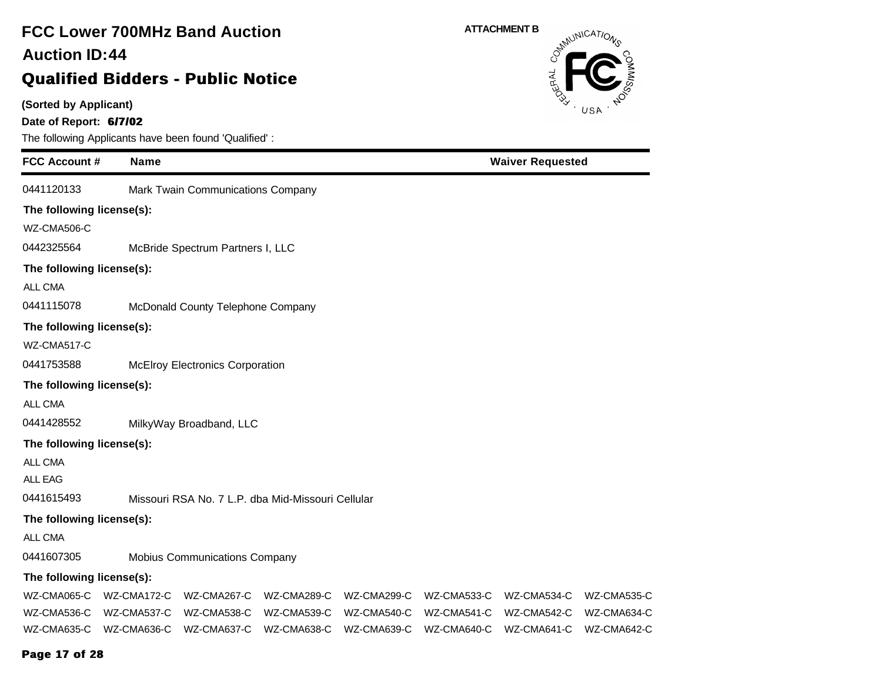### **(Sorted by Applicant) Date of Report: 6/7/02** The following Applicants have been found 'Qualified' : **FCC Account # Name FCC Lower 700MHz Band Auction Qualified Bidders - Public Notice 44 Auction ID: ATTACHMENT B**<br>  $\delta^{mN}$ **Waiver Requested** 0441120133 Mark Twain Communications Company **The following license(s):** WZ-CMA506-C 0442325564 McBride Spectrum Partners I, LLC **The following license(s):** ALL CMA 0441115078 McDonald County Telephone Company **The following license(s):** WZ-CMA517-C 0441753588 McElroy Electronics Corporation **The following license(s):** ALL CMA 0441428552 MilkyWay Broadband, LLC **The following license(s):** ALL CMA ALL EAG 0441615493 Missouri RSA No. 7 L.P. dba Mid-Missouri Cellular **The following license(s):** ALL CMA 0441607305 Mobius Communications Company **The following license(s):** WZ-CMA065-C WZ-CMA172-C WZ-CMA267-C WZ-CMA289-C WZ-CMA299-C WZ-CMA533-C WZ-CMA534-C WZ-CMA535-C WZ-CMA536-C WZ-CMA537-C WZ-CMA538-C WZ-CMA539-C WZ-CMA540-C WZ-CMA541-C WZ-CMA542-C WZ-CMA634-C WZ-CMA635-C WZ-CMA636-C WZ-CMA637-C WZ-CMA638-C WZ-CMA639-C WZ-CMA640-C WZ-CMA641-C WZ-CMA642-C

#### **Page 17 of 28**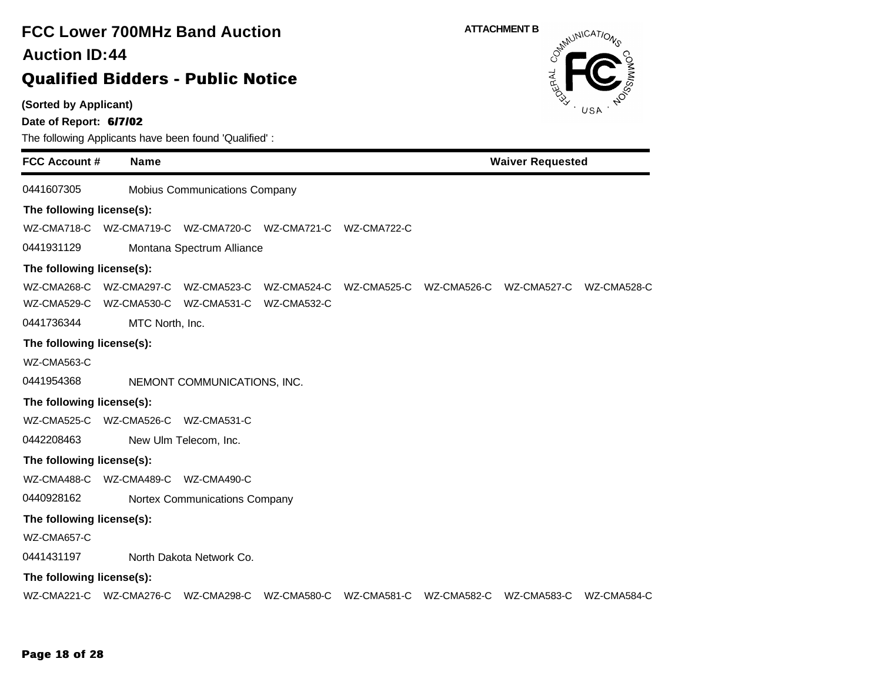**(Sorted by Applicant)**

**Date of Report: 6/7/02**

|                           |                                     | The following Applicants have been found Qualified. |             |                                                             |                         |             |
|---------------------------|-------------------------------------|-----------------------------------------------------|-------------|-------------------------------------------------------------|-------------------------|-------------|
| <b>FCC Account #</b>      | <b>Name</b>                         |                                                     |             |                                                             | <b>Waiver Requested</b> |             |
| 0441607305                |                                     | Mobius Communications Company                       |             |                                                             |                         |             |
| The following license(s): |                                     |                                                     |             |                                                             |                         |             |
| WZ-CMA718-C               |                                     | WZ-CMA719-C WZ-CMA720-C WZ-CMA721-C WZ-CMA722-C     |             |                                                             |                         |             |
| 0441931129                |                                     | Montana Spectrum Alliance                           |             |                                                             |                         |             |
| The following license(s): |                                     |                                                     |             |                                                             |                         |             |
|                           | WZ-CMA268-C WZ-CMA297-C WZ-CMA523-C |                                                     | WZ-CMA524-C | WZ-CMA525-C WZ-CMA526-C WZ-CMA527-C WZ-CMA528-C             |                         |             |
| WZ-CMA529-C               |                                     | WZ-CMA530-C WZ-CMA531-C WZ-CMA532-C                 |             |                                                             |                         |             |
| 0441736344                | MTC North, Inc.                     |                                                     |             |                                                             |                         |             |
| The following license(s): |                                     |                                                     |             |                                                             |                         |             |
| WZ-CMA563-C               |                                     |                                                     |             |                                                             |                         |             |
| 0441954368                |                                     | NEMONT COMMUNICATIONS, INC.                         |             |                                                             |                         |             |
| The following license(s): |                                     |                                                     |             |                                                             |                         |             |
|                           | WZ-CMA525-C WZ-CMA526-C WZ-CMA531-C |                                                     |             |                                                             |                         |             |
| 0442208463                |                                     | New Ulm Telecom, Inc.                               |             |                                                             |                         |             |
| The following license(s): |                                     |                                                     |             |                                                             |                         |             |
|                           | WZ-CMA488-C WZ-CMA489-C WZ-CMA490-C |                                                     |             |                                                             |                         |             |
| 0440928162                |                                     | Nortex Communications Company                       |             |                                                             |                         |             |
| The following license(s): |                                     |                                                     |             |                                                             |                         |             |
| WZ-CMA657-C               |                                     |                                                     |             |                                                             |                         |             |
| 0441431197                |                                     | North Dakota Network Co.                            |             |                                                             |                         |             |
| The following license(s): |                                     |                                                     |             |                                                             |                         |             |
|                           | WZ-CMA221-C WZ-CMA276-C             |                                                     |             | WZ-CMA298-C WZ-CMA580-C WZ-CMA581-C WZ-CMA582-C WZ-CMA583-C |                         | WZ-CMA584-C |

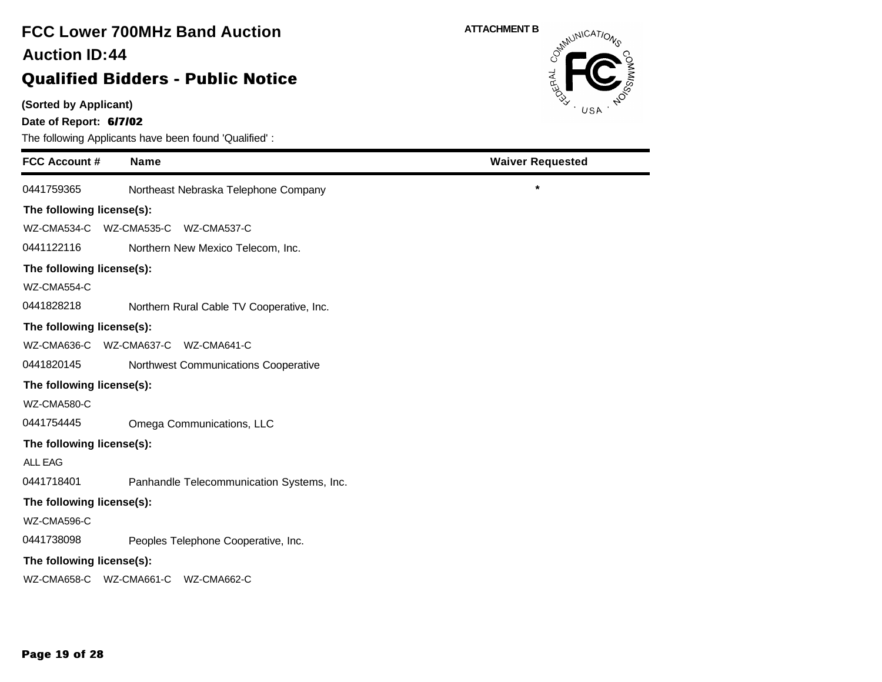# **FCC Lower 700MHz Band Auction 44 Auction ID:**

### **Qualified Bidders - Public Notice**

**(Sorted by Applicant)**

**Date of Report: 6/7/02**

| <b>FCC Account #</b>      | <b>Name</b>                               | <b>Waiver Requested</b> |
|---------------------------|-------------------------------------------|-------------------------|
| 0441759365                | Northeast Nebraska Telephone Company      | $\star$                 |
| The following license(s): |                                           |                         |
| WZ-CMA534-C               | WZ-CMA535-C WZ-CMA537-C                   |                         |
| 0441122116                | Northern New Mexico Telecom, Inc.         |                         |
| The following license(s): |                                           |                         |
| WZ-CMA554-C               |                                           |                         |
| 0441828218                | Northern Rural Cable TV Cooperative, Inc. |                         |
| The following license(s): |                                           |                         |
| WZ-CMA636-C               | WZ-CMA637-C WZ-CMA641-C                   |                         |
| 0441820145                | Northwest Communications Cooperative      |                         |
| The following license(s): |                                           |                         |
| WZ-CMA580-C               |                                           |                         |
| 0441754445                | Omega Communications, LLC                 |                         |
| The following license(s): |                                           |                         |
| <b>ALL EAG</b>            |                                           |                         |
| 0441718401                | Panhandle Telecommunication Systems, Inc. |                         |
| The following license(s): |                                           |                         |
| WZ-CMA596-C               |                                           |                         |
| 0441738098                | Peoples Telephone Cooperative, Inc.       |                         |
| The following license(s): |                                           |                         |
| WZ-CMA658-C WZ-CMA661-C   | WZ-CMA662-C                               |                         |

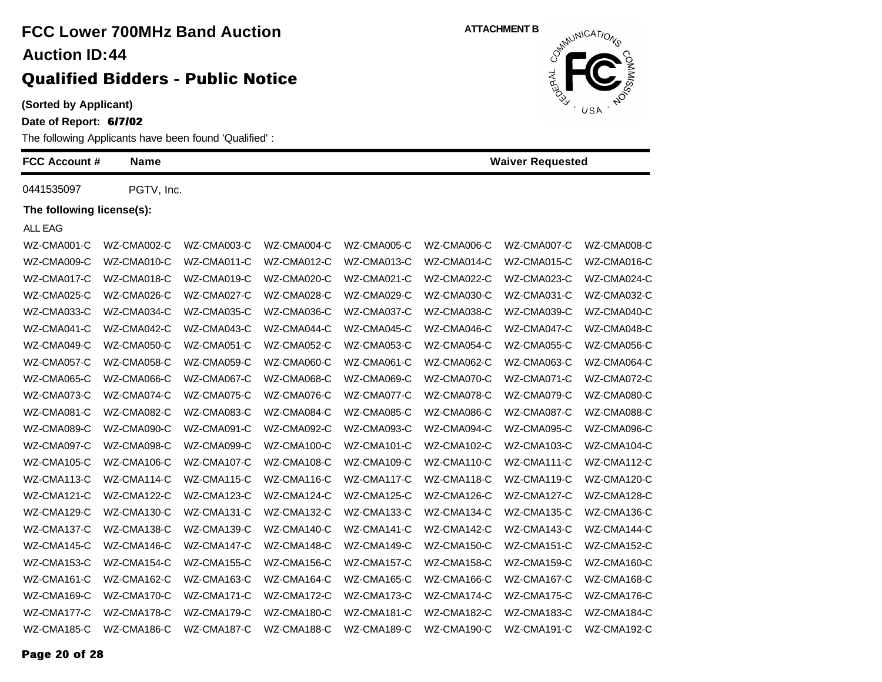**(Sorted by Applicant)**

**Date of Report: 6/7/02**

The following Applicants have been found 'Qualified' :

| <b>FCC Account #</b>      | <b>Name</b> |             |             |             |             | <b>Waiver Requested</b> |             |
|---------------------------|-------------|-------------|-------------|-------------|-------------|-------------------------|-------------|
| 0441535097                | PGTV, Inc.  |             |             |             |             |                         |             |
| The following license(s): |             |             |             |             |             |                         |             |
| ALL EAG                   |             |             |             |             |             |                         |             |
| WZ-CMA001-C               | WZ-CMA002-C | WZ-CMA003-C | WZ-CMA004-C | WZ-CMA005-C | WZ-CMA006-C | WZ-CMA007-C             | WZ-CMA008-C |
| WZ-CMA009-C               | WZ-CMA010-C | WZ-CMA011-C | WZ-CMA012-C | WZ-CMA013-C | WZ-CMA014-C | WZ-CMA015-C             | WZ-CMA016-C |
| WZ-CMA017-C               | WZ-CMA018-C | WZ-CMA019-C | WZ-CMA020-C | WZ-CMA021-C | WZ-CMA022-C | WZ-CMA023-C             | WZ-CMA024-C |
| WZ-CMA025-C               | WZ-CMA026-C | WZ-CMA027-C | WZ-CMA028-C | WZ-CMA029-C | WZ-CMA030-C | WZ-CMA031-C             | WZ-CMA032-C |
| WZ-CMA033-C               | WZ-CMA034-C | WZ-CMA035-C | WZ-CMA036-C | WZ-CMA037-C | WZ-CMA038-C | WZ-CMA039-C             | WZ-CMA040-C |
| WZ-CMA041-C               | WZ-CMA042-C | WZ-CMA043-C | WZ-CMA044-C | WZ-CMA045-C | WZ-CMA046-C | WZ-CMA047-C             | WZ-CMA048-C |
| WZ-CMA049-C               | WZ-CMA050-C | WZ-CMA051-C | WZ-CMA052-C | WZ-CMA053-C | WZ-CMA054-C | WZ-CMA055-C             | WZ-CMA056-C |
| WZ-CMA057-C               | WZ-CMA058-C | WZ-CMA059-C | WZ-CMA060-C | WZ-CMA061-C | WZ-CMA062-C | WZ-CMA063-C             | WZ-CMA064-C |
| WZ-CMA065-C               | WZ-CMA066-C | WZ-CMA067-C | WZ-CMA068-C | WZ-CMA069-C | WZ-CMA070-C | WZ-CMA071-C             | WZ-CMA072-C |
| WZ-CMA073-C               | WZ-CMA074-C | WZ-CMA075-C | WZ-CMA076-C | WZ-CMA077-C | WZ-CMA078-C | WZ-CMA079-C             | WZ-CMA080-C |
| WZ-CMA081-C               | WZ-CMA082-C | WZ-CMA083-C | WZ-CMA084-C | WZ-CMA085-C | WZ-CMA086-C | WZ-CMA087-C             | WZ-CMA088-C |
| WZ-CMA089-C               | WZ-CMA090-C | WZ-CMA091-C | WZ-CMA092-C | WZ-CMA093-C | WZ-CMA094-C | WZ-CMA095-C             | WZ-CMA096-C |
| WZ-CMA097-C               | WZ-CMA098-C | WZ-CMA099-C | WZ-CMA100-C | WZ-CMA101-C | WZ-CMA102-C | WZ-CMA103-C             | WZ-CMA104-C |
| WZ-CMA105-C               | WZ-CMA106-C | WZ-CMA107-C | WZ-CMA108-C | WZ-CMA109-C | WZ-CMA110-C | WZ-CMA111-C             | WZ-CMA112-C |
| WZ-CMA113-C               | WZ-CMA114-C | WZ-CMA115-C | WZ-CMA116-C | WZ-CMA117-C | WZ-CMA118-C | WZ-CMA119-C             | WZ-CMA120-C |
| WZ-CMA121-C               | WZ-CMA122-C | WZ-CMA123-C | WZ-CMA124-C | WZ-CMA125-C | WZ-CMA126-C | WZ-CMA127-C             | WZ-CMA128-C |
| WZ-CMA129-C               | WZ-CMA130-C | WZ-CMA131-C | WZ-CMA132-C | WZ-CMA133-C | WZ-CMA134-C | WZ-CMA135-C             | WZ-CMA136-C |
| WZ-CMA137-C               | WZ-CMA138-C | WZ-CMA139-C | WZ-CMA140-C | WZ-CMA141-C | WZ-CMA142-C | WZ-CMA143-C             | WZ-CMA144-C |
| WZ-CMA145-C               | WZ-CMA146-C | WZ-CMA147-C | WZ-CMA148-C | WZ-CMA149-C | WZ-CMA150-C | WZ-CMA151-C             | WZ-CMA152-C |
| WZ-CMA153-C               | WZ-CMA154-C | WZ-CMA155-C | WZ-CMA156-C | WZ-CMA157-C | WZ-CMA158-C | WZ-CMA159-C             | WZ-CMA160-C |
| WZ-CMA161-C               | WZ-CMA162-C | WZ-CMA163-C | WZ-CMA164-C | WZ-CMA165-C | WZ-CMA166-C | WZ-CMA167-C             | WZ-CMA168-C |
| WZ-CMA169-C               | WZ-CMA170-C | WZ-CMA171-C | WZ-CMA172-C | WZ-CMA173-C | WZ-CMA174-C | WZ-CMA175-C             | WZ-CMA176-C |
| WZ-CMA177-C               | WZ-CMA178-C | WZ-CMA179-C | WZ-CMA180-C | WZ-CMA181-C | WZ-CMA182-C | WZ-CMA183-C             | WZ-CMA184-C |
| WZ-CMA185-C               | WZ-CMA186-C | WZ-CMA187-C | WZ-CMA188-C | WZ-CMA189-C | WZ-CMA190-C | WZ-CMA191-C             | WZ-CMA192-C |

**ATTACHMENT B** JERAL USA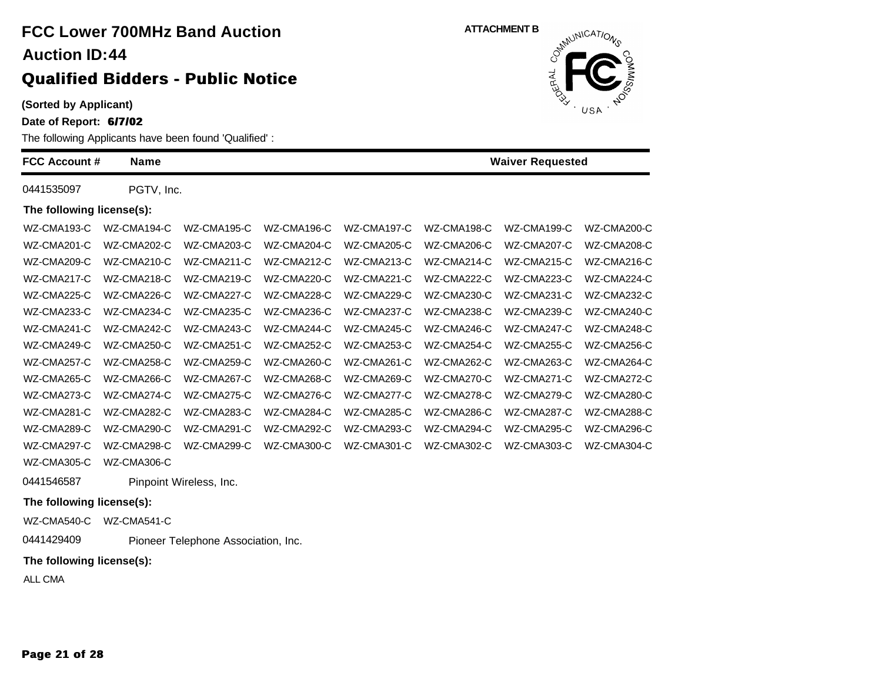**(Sorted by Applicant)**

**Date of Report: 6/7/02**

| The following Applicants have been found 'Qualified': |             |                         |             |             |             |                         |             |  |
|-------------------------------------------------------|-------------|-------------------------|-------------|-------------|-------------|-------------------------|-------------|--|
| <b>FCC Account #</b>                                  | <b>Name</b> |                         |             |             |             | <b>Waiver Requested</b> |             |  |
| 0441535097                                            | PGTV, Inc.  |                         |             |             |             |                         |             |  |
| The following license(s):                             |             |                         |             |             |             |                         |             |  |
| WZ-CMA193-C                                           | WZ-CMA194-C | WZ-CMA195-C             | WZ-CMA196-C | WZ-CMA197-C | WZ-CMA198-C | WZ-CMA199-C             | WZ-CMA200-C |  |
| WZ-CMA201-C                                           | WZ-CMA202-C | WZ-CMA203-C             | WZ-CMA204-C | WZ-CMA205-C | WZ-CMA206-C | WZ-CMA207-C             | WZ-CMA208-C |  |
| WZ-CMA209-C                                           | WZ-CMA210-C | WZ-CMA211-C             | WZ-CMA212-C | WZ-CMA213-C | WZ-CMA214-C | WZ-CMA215-C             | WZ-CMA216-C |  |
| WZ-CMA217-C                                           | WZ-CMA218-C | WZ-CMA219-C             | WZ-CMA220-C | WZ-CMA221-C | WZ-CMA222-C | WZ-CMA223-C             | WZ-CMA224-C |  |
| WZ-CMA225-C                                           | WZ-CMA226-C | WZ-CMA227-C             | WZ-CMA228-C | WZ-CMA229-C | WZ-CMA230-C | WZ-CMA231-C             | WZ-CMA232-C |  |
| WZ-CMA233-C                                           | WZ-CMA234-C | WZ-CMA235-C             | WZ-CMA236-C | WZ-CMA237-C | WZ-CMA238-C | WZ-CMA239-C             | WZ-CMA240-C |  |
| WZ-CMA241-C                                           | WZ-CMA242-C | WZ-CMA243-C             | WZ-CMA244-C | WZ-CMA245-C | WZ-CMA246-C | WZ-CMA247-C             | WZ-CMA248-C |  |
| WZ-CMA249-C                                           | WZ-CMA250-C | WZ-CMA251-C             | WZ-CMA252-C | WZ-CMA253-C | WZ-CMA254-C | WZ-CMA255-C             | WZ-CMA256-C |  |
| WZ-CMA257-C                                           | WZ-CMA258-C | WZ-CMA259-C             | WZ-CMA260-C | WZ-CMA261-C | WZ-CMA262-C | WZ-CMA263-C             | WZ-CMA264-C |  |
| WZ-CMA265-C                                           | WZ-CMA266-C | WZ-CMA267-C             | WZ-CMA268-C | WZ-CMA269-C | WZ-CMA270-C | WZ-CMA271-C             | WZ-CMA272-C |  |
| WZ-CMA273-C                                           | WZ-CMA274-C | WZ-CMA275-C             | WZ-CMA276-C | WZ-CMA277-C | WZ-CMA278-C | WZ-CMA279-C             | WZ-CMA280-C |  |
| WZ-CMA281-C                                           | WZ-CMA282-C | WZ-CMA283-C             | WZ-CMA284-C | WZ-CMA285-C | WZ-CMA286-C | WZ-CMA287-C             | WZ-CMA288-C |  |
| WZ-CMA289-C                                           | WZ-CMA290-C | WZ-CMA291-C             | WZ-CMA292-C | WZ-CMA293-C | WZ-CMA294-C | WZ-CMA295-C             | WZ-CMA296-C |  |
| WZ-CMA297-C                                           | WZ-CMA298-C | WZ-CMA299-C             | WZ-CMA300-C | WZ-CMA301-C | WZ-CMA302-C | WZ-CMA303-C             | WZ-CMA304-C |  |
| WZ-CMA305-C                                           | WZ-CMA306-C |                         |             |             |             |                         |             |  |
| 0441546587                                            |             | Pinpoint Wireless, Inc. |             |             |             |                         |             |  |
| The following license(s):                             |             |                         |             |             |             |                         |             |  |

WZ-CMA540-C WZ-CMA541-C

0441429409 Pioneer Telephone Association, Inc.

### **The following license(s):**

ALL CMA

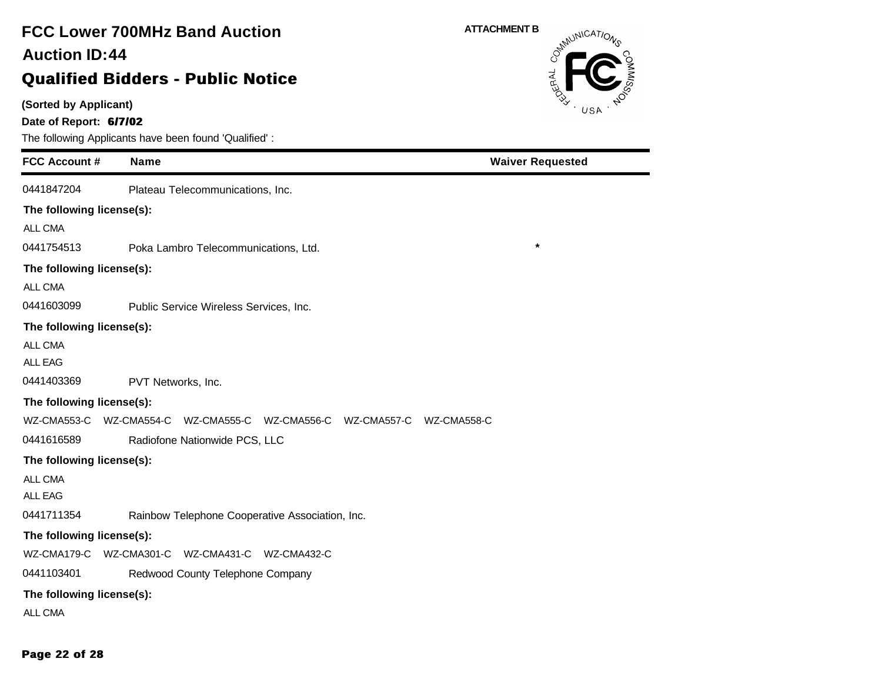# **FCC Lower 700MHz Band Auction 44 Auction ID:**

### **Qualified Bidders - Public Notice**

**(Sorted by Applicant)**

**Date of Report: 6/7/02**

| <b>FCC Account #</b>      | <b>Name</b>                                                    | <b>Waiver Requested</b> |
|---------------------------|----------------------------------------------------------------|-------------------------|
| 0441847204                | Plateau Telecommunications, Inc.                               |                         |
| The following license(s): |                                                                |                         |
| ALL CMA                   |                                                                |                         |
| 0441754513                | Poka Lambro Telecommunications, Ltd.                           | $\star$                 |
| The following license(s): |                                                                |                         |
| ALL CMA                   |                                                                |                         |
| 0441603099                | Public Service Wireless Services, Inc.                         |                         |
| The following license(s): |                                                                |                         |
| ALL CMA                   |                                                                |                         |
| <b>ALL EAG</b>            |                                                                |                         |
| 0441403369                | PVT Networks, Inc.                                             |                         |
| The following license(s): |                                                                |                         |
| WZ-CMA553-C               | WZ-CMA554-C<br>WZ-CMA555-C WZ-CMA556-C WZ-CMA557-C WZ-CMA558-C |                         |
| 0441616589                | Radiofone Nationwide PCS, LLC                                  |                         |
| The following license(s): |                                                                |                         |
| ALL CMA                   |                                                                |                         |
| <b>ALL EAG</b>            |                                                                |                         |
| 0441711354                | Rainbow Telephone Cooperative Association, Inc.                |                         |
| The following license(s): |                                                                |                         |
| WZ-CMA179-C               | WZ-CMA301-C WZ-CMA431-C WZ-CMA432-C                            |                         |
| 0441103401                | Redwood County Telephone Company                               |                         |
| The following license(s): |                                                                |                         |
| <b>ALL CMA</b>            |                                                                |                         |

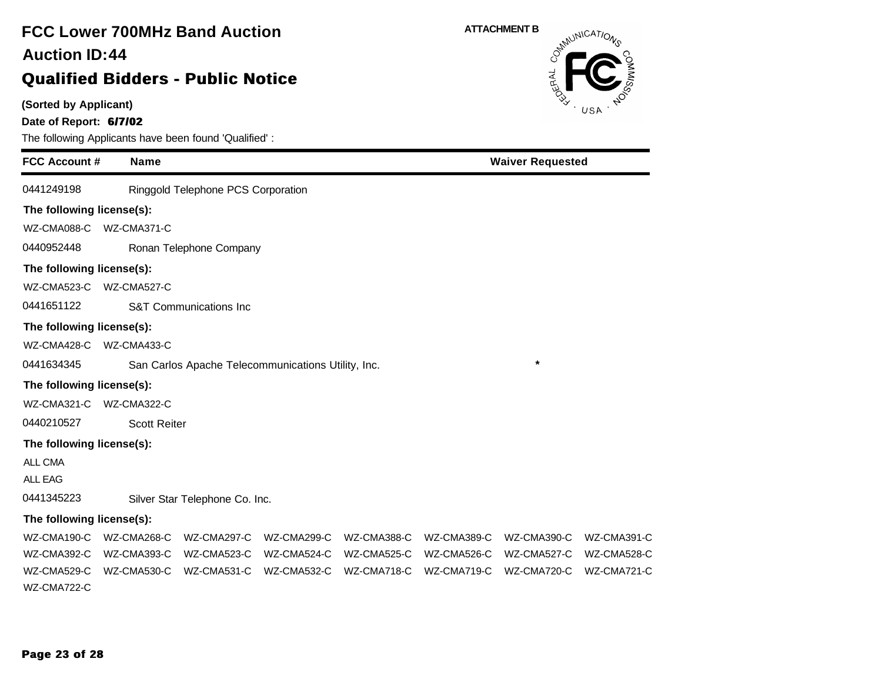### **(Sorted by Applicant) Date of Report: 6/7/02** The following Applicants have been found 'Qualified' : **FCC Account # Name FCC Lower 700MHz Band Auction Qualified Bidders - Public Notice 44 Auction ID: ATTACHMENT B**<br>  $\delta^{mN}$ **Waiver Requested** 0441249198 Ringgold Telephone PCS Corporation **The following license(s):** WZ-CMA088-C WZ-CMA371-C 0440952448 Ronan Telephone Company **The following license(s):** WZ-CMA523-C WZ-CMA527-C 0441651122 S&T Communications Inc **The following license(s):** WZ-CMA428-C WZ-CMA433-C 0441634345 San Carlos Apache Telecommunications Utility, Inc. **\* The following license(s):** WZ-CMA321-C WZ-CMA322-C 0440210527 Scott Reiter **The following license(s):** ALL CMA ALL EAG 0441345223 Silver Star Telephone Co. Inc. **The following license(s):** WZ-CMA190-C WZ-CMA268-C WZ-CMA297-C WZ-CMA299-C WZ-CMA388-C WZ-CMA389-C WZ-CMA390-C WZ-CMA391-C WZ-CMA392-C WZ-CMA393-C WZ-CMA523-C WZ-CMA524-C WZ-CMA525-C WZ-CMA526-C WZ-CMA527-C WZ-CMA528-C WZ-CMA529-C WZ-CMA530-C WZ-CMA531-C WZ-CMA532-C WZ-CMA718-C WZ-CMA719-C WZ-CMA720-C WZ-CMA721-C WZ-CMA722-C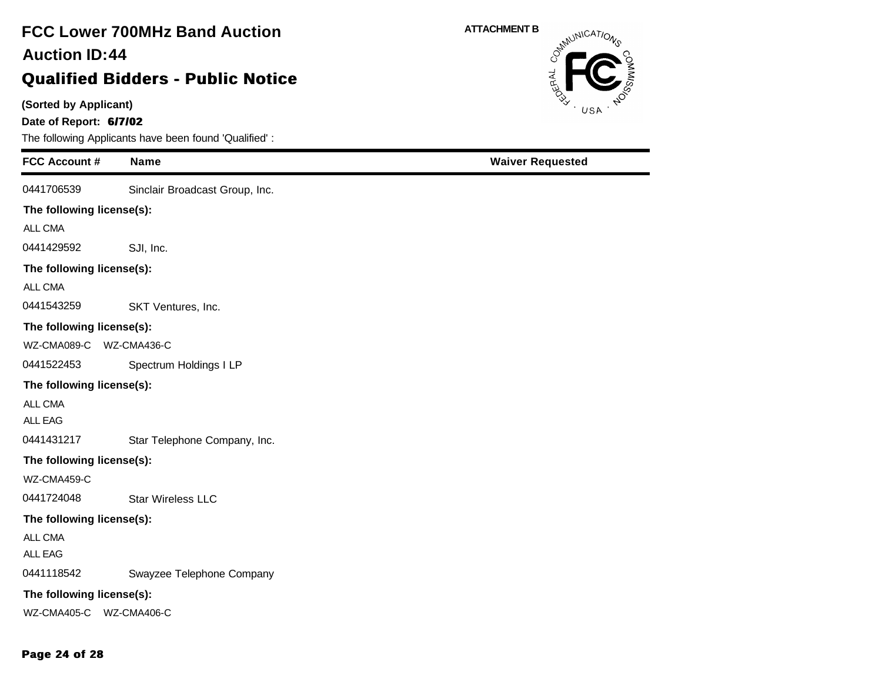### **(Sorted by Applicant) Date of Report: 6/7/02** The following Applicants have been found 'Qualified' : **FCC Account # Name FCC Lower 700MHz Band Auction Qualified Bidders - Public Notice 44 Auction ID: ATTACHMENT B Waiver Requested** 0441706539 Sinclair Broadcast Group, Inc. **The following license(s):** ALL CMA 0441429592 SJI, Inc. **The following license(s):** ALL CMA 0441543259 SKT Ventures, Inc. **The following license(s):** WZ-CMA089-C WZ-CMA436-C 0441522453 Spectrum Holdings I LP **The following license(s):** ALL CMA ALL EAG 0441431217 Star Telephone Company, Inc. **The following license(s):** WZ-CMA459-C 0441724048 Star Wireless LLC **The following license(s):** ALL CMA ALL EAG 0441118542 Swayzee Telephone Company

#### **The following license(s):**

WZ-CMA405-C WZ-CMA406-C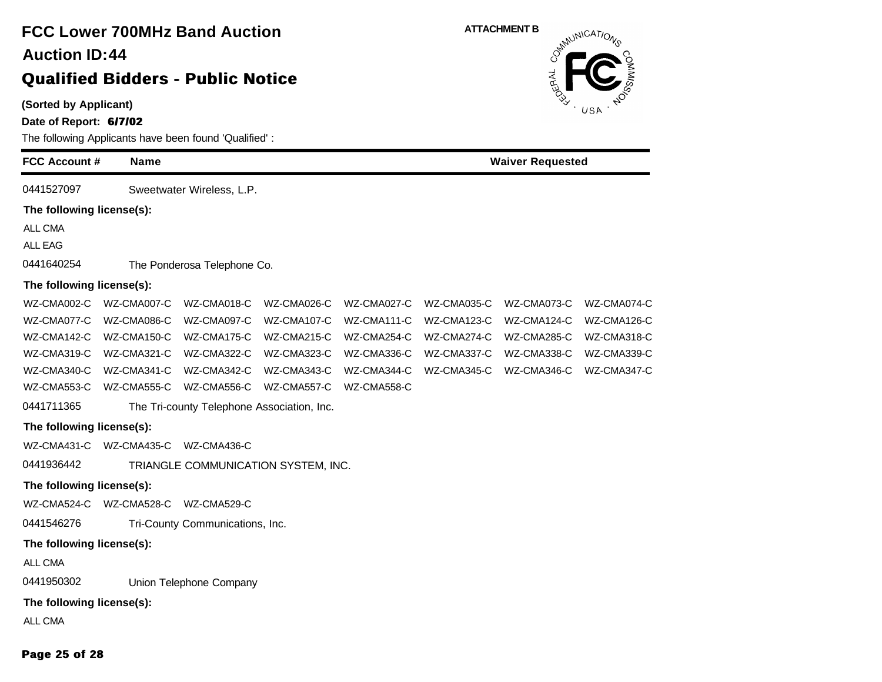### **(Sorted by Applicant) Date of Report: 6/7/02** The following Applicants have been found 'Qualified' : **FCC Account # Name FCC Lower 700MHz Band Auction Qualified Bidders - Public Notice 44 Auction ID: ATTACHMENT B**<br>  $\delta^{mN}$ **Waiver Requested** 0441527097 Sweetwater Wireless, L.P. **The following license(s):** ALL CMA ALL EAG 0441640254 The Ponderosa Telephone Co. **The following license(s):** WZ-CMA002-C WZ-CMA007-C WZ-CMA018-C WZ-CMA026-C WZ-CMA027-C WZ-CMA035-C WZ-CMA073-C WZ-CMA074-C WZ-CMA077-C WZ-CMA086-C WZ-CMA097-C WZ-CMA107-C WZ-CMA111-C WZ-CMA123-C WZ-CMA124-C WZ-CMA126-C WZ-CMA142-C WZ-CMA150-C WZ-CMA175-C WZ-CMA215-C WZ-CMA254-C WZ-CMA274-C WZ-CMA285-C WZ-CMA318-C WZ-CMA319-C WZ-CMA321-C WZ-CMA322-C WZ-CMA323-C WZ-CMA336-C WZ-CMA337-C WZ-CMA338-C WZ-CMA339-C WZ-CMA340-C WZ-CMA341-C WZ-CMA342-C WZ-CMA343-C WZ-CMA344-C WZ-CMA345-C WZ-CMA346-C WZ-CMA347-C WZ-CMA553-C WZ-CMA555-C WZ-CMA556-C WZ-CMA557-C WZ-CMA558-C 0441711365 The Tri-county Telephone Association, Inc. **The following license(s):** WZ-CMA431-C WZ-CMA435-C WZ-CMA436-C 0441936442 TRIANGLE COMMUNICATION SYSTEM, INC. **The following license(s):** WZ-CMA524-C WZ-CMA528-C WZ-CMA529-C 0441546276 Tri-County Communications, Inc. **The following license(s):** ALL CMA 0441950302 Union Telephone Company **The following license(s):** ALL CMA

#### **Page 25 of 28**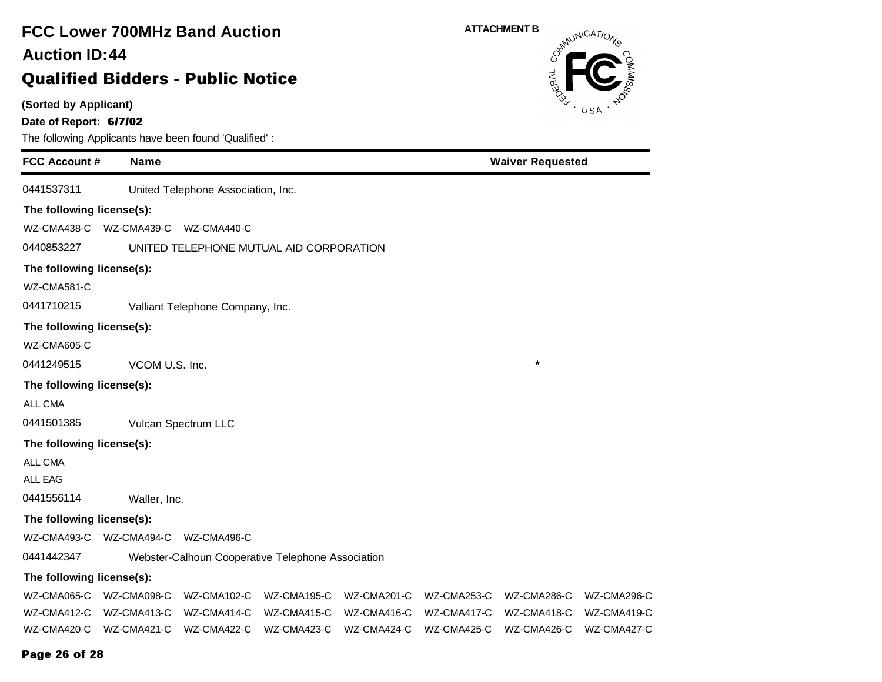| <b>FCC Lower 700MHz Band Auction</b><br><b>Auction ID:44</b><br><b>Qualified Bidders - Public Notice</b> |                                                       | <b>ATTACHMENT B</b><br>OSMUNICATIONS<br>OERAL |             |             |                         |             |  |  |
|----------------------------------------------------------------------------------------------------------|-------------------------------------------------------|-----------------------------------------------|-------------|-------------|-------------------------|-------------|--|--|
| (Sorted by Applicant)<br>Date of Report: 6/7/02                                                          | The following Applicants have been found 'Qualified': |                                               |             |             | USA                     |             |  |  |
| <b>FCC Account #</b>                                                                                     | <b>Name</b>                                           |                                               |             |             | <b>Waiver Requested</b> |             |  |  |
| 0441537311                                                                                               | United Telephone Association, Inc.                    |                                               |             |             |                         |             |  |  |
| The following license(s):                                                                                |                                                       |                                               |             |             |                         |             |  |  |
| WZ-CMA438-C                                                                                              | WZ-CMA439-C<br>WZ-CMA440-C                            |                                               |             |             |                         |             |  |  |
| 0440853227                                                                                               | UNITED TELEPHONE MUTUAL AID CORPORATION               |                                               |             |             |                         |             |  |  |
| The following license(s):                                                                                |                                                       |                                               |             |             |                         |             |  |  |
| WZ-CMA581-C                                                                                              |                                                       |                                               |             |             |                         |             |  |  |
| 0441710215                                                                                               | Valliant Telephone Company, Inc.                      |                                               |             |             |                         |             |  |  |
| The following license(s):                                                                                |                                                       |                                               |             |             |                         |             |  |  |
| WZ-CMA605-C                                                                                              |                                                       |                                               |             |             |                         |             |  |  |
| 0441249515                                                                                               | VCOM U.S. Inc.                                        |                                               |             |             | *                       |             |  |  |
| The following license(s):                                                                                |                                                       |                                               |             |             |                         |             |  |  |
| ALL CMA                                                                                                  |                                                       |                                               |             |             |                         |             |  |  |
| 0441501385                                                                                               | Vulcan Spectrum LLC                                   |                                               |             |             |                         |             |  |  |
| The following license(s):                                                                                |                                                       |                                               |             |             |                         |             |  |  |
| ALL CMA                                                                                                  |                                                       |                                               |             |             |                         |             |  |  |
| ALL EAG                                                                                                  |                                                       |                                               |             |             |                         |             |  |  |
| 0441556114                                                                                               | Waller, Inc.                                          |                                               |             |             |                         |             |  |  |
| The following license(s):                                                                                |                                                       |                                               |             |             |                         |             |  |  |
| WZ-CMA493-C                                                                                              | WZ-CMA494-C<br>WZ-CMA496-C                            |                                               |             |             |                         |             |  |  |
| 0441442347                                                                                               | Webster-Calhoun Cooperative Telephone Association     |                                               |             |             |                         |             |  |  |
| The following license(s):                                                                                |                                                       |                                               |             |             |                         |             |  |  |
| WZ-CMA065-C                                                                                              | WZ-CMA098-C<br>WZ-CMA102-C                            | WZ-CMA195-C                                   | WZ-CMA201-C | WZ-CMA253-C | WZ-CMA286-C             | WZ-CMA296-C |  |  |
| WZ-CMA412-C                                                                                              | WZ-CMA413-C<br>WZ-CMA414-C                            | WZ-CMA415-C                                   | WZ-CMA416-C | WZ-CMA417-C | WZ-CMA418-C             | WZ-CMA419-C |  |  |
| WZ-CMA420-C                                                                                              | WZ-CMA421-C<br>WZ-CMA422-C                            | WZ-CMA423-C                                   | WZ-CMA424-C | WZ-CMA425-C | WZ-CMA426-C             | WZ-CMA427-C |  |  |

### **Page 26 of 28**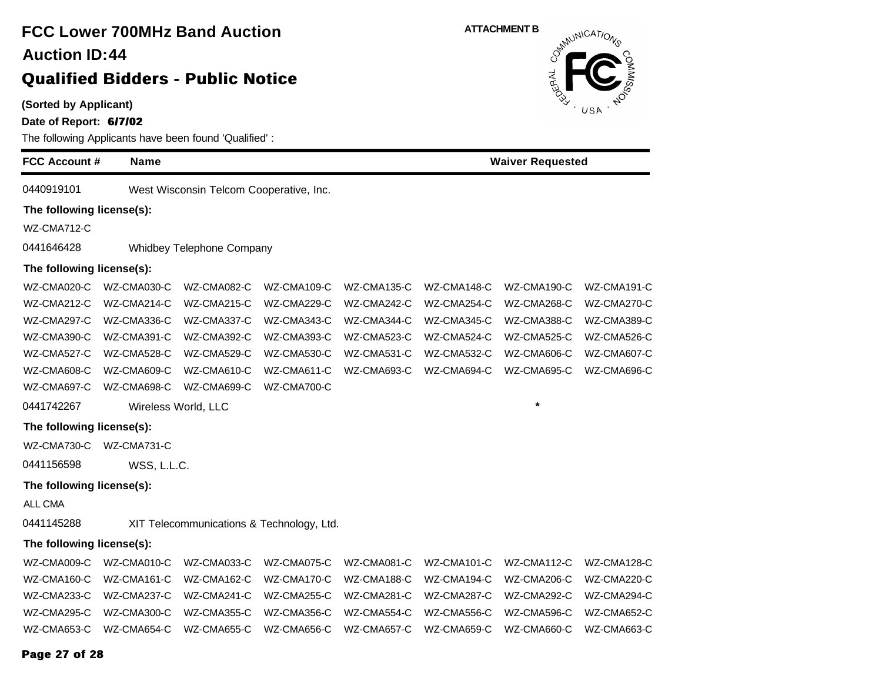**(Sorted by Applicant)**

**Date of Report: 6/7/02**

| Date of Report: <b>billuz</b><br>The following Applicants have been found 'Qualified': |             |                                           |             |             |             |                         |             |  |
|----------------------------------------------------------------------------------------|-------------|-------------------------------------------|-------------|-------------|-------------|-------------------------|-------------|--|
| <b>FCC Account #</b>                                                                   | <b>Name</b> |                                           |             |             |             | <b>Waiver Requested</b> |             |  |
| 0440919101                                                                             |             | West Wisconsin Telcom Cooperative, Inc.   |             |             |             |                         |             |  |
| The following license(s):                                                              |             |                                           |             |             |             |                         |             |  |
| WZ-CMA712-C                                                                            |             |                                           |             |             |             |                         |             |  |
| 0441646428                                                                             |             | Whidbey Telephone Company                 |             |             |             |                         |             |  |
| The following license(s):                                                              |             |                                           |             |             |             |                         |             |  |
| WZ-CMA020-C                                                                            | WZ-CMA030-C | WZ-CMA082-C                               | WZ-CMA109-C | WZ-CMA135-C | WZ-CMA148-C | WZ-CMA190-C             | WZ-CMA191-C |  |
| WZ-CMA212-C                                                                            | WZ-CMA214-C | WZ-CMA215-C                               | WZ-CMA229-C | WZ-CMA242-C | WZ-CMA254-C | WZ-CMA268-C             | WZ-CMA270-C |  |
| WZ-CMA297-C                                                                            | WZ-CMA336-C | WZ-CMA337-C                               | WZ-CMA343-C | WZ-CMA344-C | WZ-CMA345-C | WZ-CMA388-C             | WZ-CMA389-C |  |
| WZ-CMA390-C                                                                            | WZ-CMA391-C | WZ-CMA392-C                               | WZ-CMA393-C | WZ-CMA523-C | WZ-CMA524-C | WZ-CMA525-C             | WZ-CMA526-C |  |
| WZ-CMA527-C                                                                            | WZ-CMA528-C | WZ-CMA529-C                               | WZ-CMA530-C | WZ-CMA531-C | WZ-CMA532-C | WZ-CMA606-C             | WZ-CMA607-C |  |
| WZ-CMA608-C                                                                            | WZ-CMA609-C | WZ-CMA610-C                               | WZ-CMA611-C | WZ-CMA693-C | WZ-CMA694-C | WZ-CMA695-C             | WZ-CMA696-C |  |
| WZ-CMA697-C                                                                            | WZ-CMA698-C | WZ-CMA699-C                               | WZ-CMA700-C |             |             |                         |             |  |
| 0441742267                                                                             |             | Wireless World, LLC                       |             |             |             | $\star$                 |             |  |
| The following license(s):                                                              |             |                                           |             |             |             |                         |             |  |
| WZ-CMA730-C                                                                            | WZ-CMA731-C |                                           |             |             |             |                         |             |  |
| 0441156598                                                                             | WSS, L.L.C. |                                           |             |             |             |                         |             |  |
| The following license(s):                                                              |             |                                           |             |             |             |                         |             |  |
| ALL CMA                                                                                |             |                                           |             |             |             |                         |             |  |
| 0441145288                                                                             |             | XIT Telecommunications & Technology, Ltd. |             |             |             |                         |             |  |
| The following license(s):                                                              |             |                                           |             |             |             |                         |             |  |
| WZ-CMA009-C                                                                            | WZ-CMA010-C | WZ-CMA033-C                               | WZ-CMA075-C | WZ-CMA081-C | WZ-CMA101-C | WZ-CMA112-C             | WZ-CMA128-C |  |
| WZ-CMA160-C                                                                            | WZ-CMA161-C | WZ-CMA162-C                               | WZ-CMA170-C | WZ-CMA188-C | WZ-CMA194-C | WZ-CMA206-C             | WZ-CMA220-C |  |
| WZ-CMA233-C                                                                            | WZ-CMA237-C | WZ-CMA241-C                               | WZ-CMA255-C | WZ-CMA281-C | WZ-CMA287-C | WZ-CMA292-C             | WZ-CMA294-C |  |
| WZ-CMA295-C                                                                            | WZ-CMA300-C | WZ-CMA355-C                               | WZ-CMA356-C | WZ-CMA554-C | WZ-CMA556-C | WZ-CMA596-C             | WZ-CMA652-C |  |
| WZ-CMA653-C                                                                            | WZ-CMA654-C | WZ-CMA655-C                               | WZ-CMA656-C | WZ-CMA657-C | WZ-CMA659-C | WZ-CMA660-C             | WZ-CMA663-C |  |
|                                                                                        |             |                                           |             |             |             |                         |             |  |